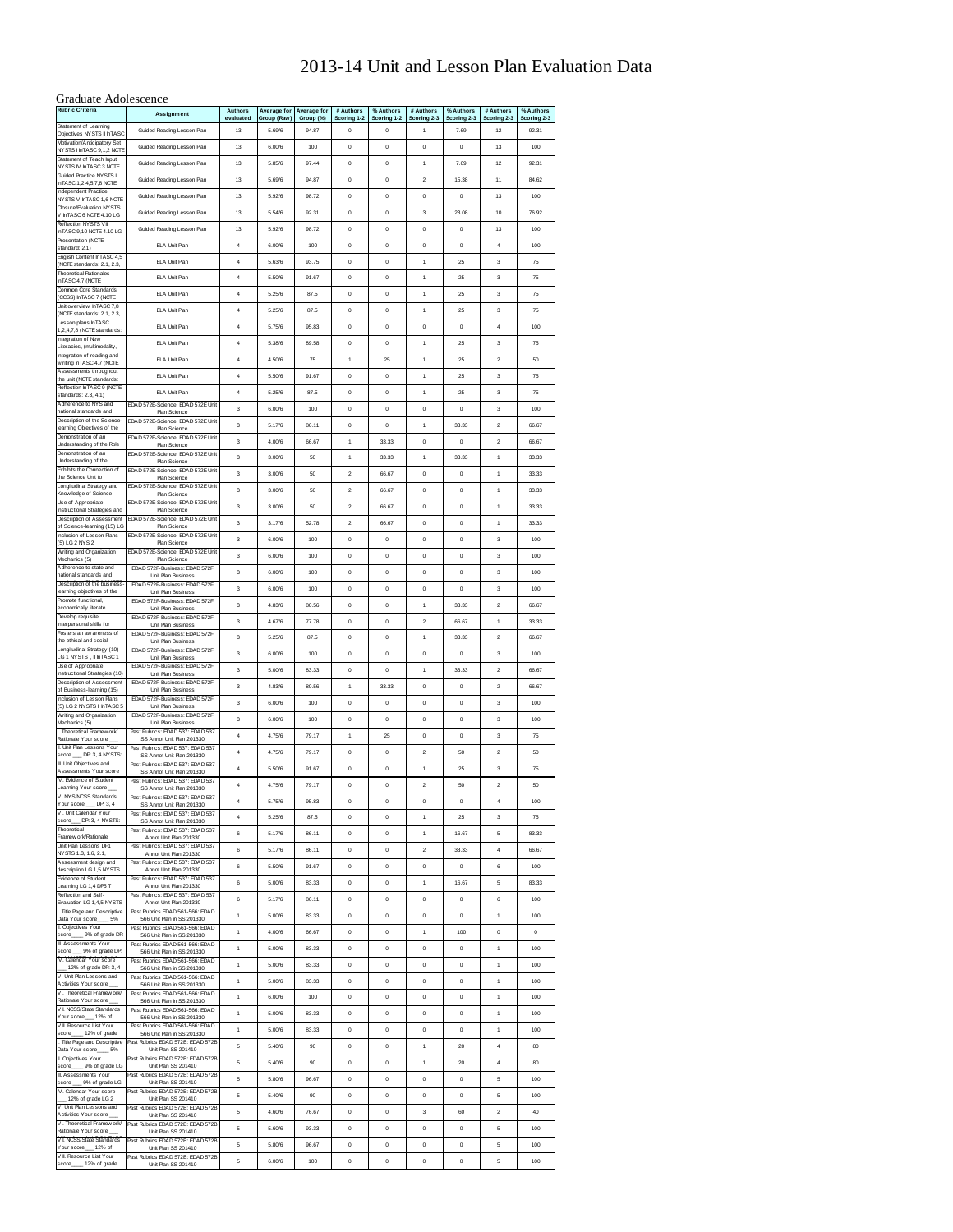#### 2013-14 Unit and Lesson Plan Evaluation Data

#### Graduate Adolescence

| ,<br><b>Rubric Criteria</b>                                                     | Assignment                                                                                    | Authors<br>evaluated | Average for<br>Group (Raw) | Average for<br>Group (%) | # Authors<br>Scoring 1-2 | % Authors<br>Scoring 1-2 | # Authors<br>Scoring 2-3 | % Authors<br>Scoring 2-3 | # Authors<br>Scoring 2-3           | % Authors<br>Scoring 2-3 |
|---------------------------------------------------------------------------------|-----------------------------------------------------------------------------------------------|----------------------|----------------------------|--------------------------|--------------------------|--------------------------|--------------------------|--------------------------|------------------------------------|--------------------------|
| Statement of Learning<br>Objectives NY STS II InTASO                            | Guided Reading Lesson Plan                                                                    | 13                   | 5.69/6                     | 94.87                    | $\bf{0}$                 | $\bf{0}$                 | $\mathbf{1}$             | 7.69                     | 12                                 | 92.31                    |
| Motivation/Anticipatory Set<br>NYSTS I InTASC 9,1,2 NCTE                        | Guided Reading Lesson Plan                                                                    | 13                   | 6.00/6                     | 100                      | 0                        | $\bf{0}$                 | $\pmb{0}$                | $\pmb{0}$                | 13                                 | 100                      |
| Statement of Teach Input<br><b>NYSTS IV InTASC 3 NCTE</b>                       | Guided Reading Lesson Plan                                                                    | 13                   | 5.85/6                     | 97.44                    | $\bf{0}$                 | $\bf{0}$                 | $\mathbf{1}$             | 7.69                     | 12                                 | 92.31                    |
| Guided Practice NYSTS I<br>InTASC 1,2,4,5,7,8 NCTE                              | Guided Reading Lesson Plan                                                                    | 13                   | 5.69/6                     | 94.87                    | 0                        | $\bf{0}$                 | $\overline{2}$           | 15.38                    | 11                                 | 84.62                    |
| Independent Practice<br>NYSTS V InTASC 1,6 NCTE                                 | Guided Reading Lesson Plan                                                                    | 13                   | 5.92/6                     | 98.72                    | $\bf{0}$                 | $\bf{0}$                 | $\bf{0}$                 | $\mathbf 0$              | 13                                 | 100                      |
| Closure/Evaluation NYSTS<br>V InTASC 6 NCTE 4.10 LG                             | Guided Reading Lesson Plan                                                                    | 13                   | 5.54/6                     | 92.31                    | $\bf{0}$                 | $\bf{0}$                 | 3                        | 23.08                    | 10                                 | 76.92                    |
| Reflection NYSTS VII<br>nTASC 9,10 NCTE 4.10 LG                                 | Guided Reading Lesson Plan                                                                    | 13                   | 5.92/6                     | 98.72                    | $\bf{0}$                 | $\bf{0}$                 | $\pmb{0}$                | $\pmb{0}$                | 13                                 | 100                      |
| Presentation (NCTE<br>standard: 2.1)                                            | ELA Unit Plan                                                                                 | 4                    | 6.00/6                     | 100                      | 0                        | $\bf{0}$                 | $\mathbf 0$              | $\pmb{0}$                | $\overline{4}$                     | 100                      |
| English Content InTASC 4,5<br>(NCTE standards: 2.1, 2.3,                        | <b>ELA Unit Plan</b>                                                                          | 4                    | 5.63/6                     | 93.75                    | $\bf{0}$                 | $\bf{0}$                 | $\mathbf{1}$             | 25                       | 3                                  | 75                       |
| <b>Theoretical Rationales</b><br>InTASC 4,7 (NCTE                               | <b>ELA Unit Plan</b>                                                                          | 4                    | 5.50/6                     | 91.67                    | $\bf{0}$                 | $\bf{0}$                 | $\mathbf{1}$             | 25                       | 3                                  | 75                       |
| Common Core Standards<br>(CCSS) InTASC 7 (NCTE                                  | <b>ELA Unit Plan</b>                                                                          | 4                    | 5.25/6                     | 87.5                     | $\bf{0}$                 | $\bf{0}$                 | $\mathbf{1}$             | 25                       | 3                                  | 75                       |
| Unit overview InTASC 7 8<br>(NCTE standards: 2.1, 2.3,                          | <b>ELA Unit Plan</b>                                                                          | $\ddot{4}$           | 5.25/6                     | 87.5                     | $\bf{0}$                 | $\bf{0}$                 | $\mathbf{1}$             | 25                       | 3                                  | 75                       |
| Lesson plans InTASC<br>1,2,4,7,8 (NCTE standards:                               | <b>ELA Unit Plan</b>                                                                          | $\ddot{4}$           | 5.75/6                     | 95.83                    | $\bf{0}$                 | $\mathbf 0$              | $\bf{0}$                 | $\bf 0$                  | $\overline{4}$                     | 100                      |
| Integration of New<br>Literacies, (multimodality,                               | ELA Unit Plan                                                                                 | $\ddot{4}$           | 5.38/6                     | 89.58                    | $\bf{0}$                 | $\bf{0}$                 | $\mathbf{1}$             | 25                       | 3                                  | 75                       |
| Integration of reading and<br>w riting InTASC 4,7 (NCTE                         | ELA Unit Plan                                                                                 | 4                    | 4.50/6                     | 75                       | $\mathbf{1}$             | 25                       | $\mathbf{1}$             | 25                       | $\boldsymbol{2}$                   | 50                       |
| Assessments throughout<br>the unit (NCTE standards:                             | <b>ELA Unit Plan</b>                                                                          | 4                    | 5.50/6                     | 91.67                    | $\bf{0}$                 | $\bf{0}$                 | $\mathbf{1}$             | 25                       | 3                                  | 75                       |
| Reflection InTASC 9 (NCTE<br>standards: 2.3, 4.1)                               | <b>ELA Unit Plan</b>                                                                          | $\ddot{4}$           | 5.25/6                     | 87.5                     | $\bf{0}$                 | $\mathbf 0$              | $\mathbf{1}$             | 25                       | 3                                  | 75                       |
| Adherence to NYS and<br>national standards and                                  | EDAD 572E-Science: EDAD 572E Unit<br>Plan Science                                             | 3                    | 6.00/6                     | 100                      | $\bf{0}$                 | $\bf{0}$                 | $\bf{0}$                 | 0                        | 3                                  | 100                      |
| Description of the Science<br>earning Objectives of the                         | EDAD 572E-Science: EDAD 572E Unit<br>Plan Science                                             | 3                    | 5.17/6                     | 86.11                    | $\bf{0}$                 | $\bf{0}$                 | $\mathbf{1}$             | 33.33                    | $\boldsymbol{2}$                   | 66.67                    |
| Demonstration of an<br>Understanding of the Role                                | EDAD 572E-Science: EDAD 572E Unit<br>Plan Science                                             | 3                    | 4.00/6                     | 66.67                    | 1                        | 33.33                    | $\bf{0}$                 | $\pmb{0}$                | $\boldsymbol{2}$                   | 66.67                    |
| Demonstration of an<br>Understanding of the                                     | EDAD 572E-Science: EDAD 572E Unit<br>Plan Science                                             | 3                    | 3.00/6                     | 50                       | 1                        | 33.33                    | $\mathbf{1}$             | 33.33                    | 1                                  | 33.33                    |
| Exhibits the Connection of<br>the Science Unit to                               | EDAD 572E-Science: EDAD 572E Unit<br>Plan Science                                             | 3                    | 3.00/6                     | 50                       | $\overline{2}$           | 66.67                    | $\bf{0}$                 | $\bf 0$                  | $\overline{1}$                     | 33.33                    |
| Longitudinal Strategy and<br>Know ledge of Science                              | EDAD 572E-Science: EDAD 572E Unit<br>Plan Science                                             | 3                    | 3.00/6                     | 50                       | $\overline{2}$           | 66.67                    | $\bf{0}$                 | $\bf 0$                  | $\ddot{\phantom{1}}$               | 33.33                    |
| Use of Appropriate<br>Instructional Strategies and<br>Description of Assessment | EDAD 572E-Science: EDAD 572E Unit<br>Plan Science<br>EDAD 572E-Science: EDAD 572E Unit        | 3                    | 3.00/6                     | 50                       | $\overline{2}$           | 66.67                    | $\bf{0}$                 | $\bf 0$                  | 1                                  | 33.33                    |
| of Science-learning (15) LG<br>Inclusion of Lesson Plans                        | Plan Science<br>EDAD 572E-Science: EDAD 572E Unit                                             | 3                    | 3.17/6                     | 52.78                    | $\boldsymbol{2}$         | 66.67                    | $\bf{0}$                 | $\bf 0$                  | $\ddot{\phantom{0}}$               | 33.33                    |
| (5) LG 2 NYS 2<br>Writing and Organization                                      | Plan Science<br>EDAD 572E-Science: EDAD 572E Unit                                             | 3                    | 6.00/6                     | 100                      | $\bf{0}$                 | $\bf{0}$                 | $\bf{0}$                 | $\bf 0$                  | 3                                  | 100                      |
| Mechanics (5)<br>Adherence to state and                                         | Plan Science<br>EDAD 572F-Business: EDAD 572F                                                 | 3                    | 6.00/6                     | 100                      | $\bf{0}$                 | $\bf{0}$                 | $\bf{0}$                 | $\bf 0$                  | 3                                  | 100                      |
| national standards and<br>Description of the business                           | Unit Plan Business<br>EDAD 572F-Business: EDAD 572F                                           | 3                    | 6.00/6                     | 100                      | $\bf{0}$                 | $\bf{0}$                 | $\bf{0}$                 | $\bf{0}$                 | 3                                  | 100                      |
| learning objectives of the<br>Promote functional,                               | Unit Plan Business<br>EDAD 572F-Business: EDAD 572F                                           | 3                    | 6.00/6                     | 100                      | $\bf{0}$                 | $\circ$                  | $\bf{0}$                 | $\bf 0$                  | 3                                  | 100                      |
| economically literate<br>Develop requisite                                      | Unit Plan Business<br>EDAD 572F-Business: EDAD 572F                                           | 3                    | 4.83/6                     | 80.56                    | $\bf{0}$                 | $\bf{0}$                 | 1                        | 33.33                    | $\overline{2}$                     | 66.67                    |
| interpersonal skills for<br>Fosters an aw areness of                            | Unit Plan Business<br>EDAD 572F-Business: EDAD 572F                                           | 3                    | 4.67/6                     | 77.78                    | $\bf{0}$                 | $\bf{0}$                 | $\overline{a}$           | 66.67                    | $\ddot{\phantom{1}}$               | 33.33                    |
| the ethical and social<br>Longitudinal Strategy (10)                            | Unit Plan Business<br>EDAD 572F-Business: EDAD 572F                                           | 3                    | 5.25/6                     | 87.5                     | $\bf{0}$                 | $\bf{0}$                 | $\mathbf{1}$             | 33.33                    | $\overline{2}$                     | 66.67                    |
| LG 1 NYSTS I, II InTASC 1<br>Use of Appropriate                                 | Unit Plan Business<br>EDAD 572F-Business: EDAD 572F                                           | 3                    | 6.00/6                     | 100                      | $\bf{0}$                 | $\bf{0}$                 | $\bf{0}$                 | $\bf 0$                  | 3                                  | 100                      |
| Instructional Strategies (10)<br>Description of Assessment                      | Unit Plan Business<br>EDAD 572F-Business: EDAD 572F                                           | 3<br>3               | 5.00/6<br>4.83/6           | 83.33<br>80.56           | $\bf{0}$<br>$\mathbf{1}$ | $\bf{0}$<br>33.33        | $\mathbf{1}$<br>$\bf{0}$ | 33.33<br>$\bf 0$         | $\overline{2}$<br>$\boldsymbol{2}$ | 66.67<br>66.67           |
| of Business-learning (15)<br>Inclusion of Lesson Plans                          | Unit Plan Business<br>EDAD 572F-Business: EDAD 572F                                           | 3                    | 6.00/6                     | 100                      | $\bf{0}$                 | $\bf{0}$                 | $\bf{0}$                 | $\bf 0$                  | 3                                  | 100                      |
| (5) LG 2 NY STS II In TASC 5<br>Writing and Organization                        | <b>Unit Plan Business</b><br>EDAD 572F-Business: EDAD 572F                                    | 3                    | 6.00/6                     | 100                      | $\bf{0}$                 | $\circ$                  | $\bf{0}$                 | $\bf{0}$                 | 3                                  | 100                      |
| Mechanics (5)<br>I. Theoretical Framew ork                                      | Unit Plan Business<br>Past Rubrics: EDAD 537: EDAD 537                                        | 4                    | 4.75/6                     | 79.17                    | 1                        | 25                       | $\bf{0}$                 | $\bf 0$                  | 3                                  | 75                       |
| Rationale Your score<br>I. Unit Plan Lessons Your                               | SS Annot Unit Plan 201330<br>Past Rubrics: EDAD 537: EDAD 537                                 | 4                    | 4.75/6                     | 79.17                    | $\bf{0}$                 | $\bf{0}$                 | $\boldsymbol{2}$         | 50                       | $\boldsymbol{2}$                   | 50                       |
| DP: 3, 4 NYSTS:<br>score<br>III. Unit Objectives and                            | SS Annot Unit Plan 201330<br>Past Rubrics: EDAD 537: EDAD 537                                 | 4                    | 5.50/6                     | 91.67                    | $\bf{0}$                 | $\bf{0}$                 | $\mathbf{1}$             | 25                       | 3                                  | 75                       |
| Assessments Your score<br>IV. Evidence of Student<br>Learning Your score        | SS Annot Unit Plan 201330<br>Past Rubrics: EDAD 537: EDAD 537                                 | 4                    | 4.75/6                     | 79.17                    | $\bf{0}$                 | $\circ$                  | $\boldsymbol{2}$         | 50                       | $\boldsymbol{2}$                   | 50                       |
| V. NYS/NCSS Standards<br>DP: 3.4<br>Your score                                  | SS Annot Unit Plan 201330<br>Past Rubrics: EDAD 537: EDAD 537                                 | 4                    | 5.75/b                     | 95.83                    |                          |                          |                          |                          | 4                                  | าบน                      |
| VI. Unit Calendar Your<br>score DP: 3, 4 NY STS:                                | SS Annot Unit Plan 201330<br>Past Rubrics: EDAD 537: EDAD 537<br>SS Annot Unit Plan 201330    | 4                    | 5.25/6                     | 87.5                     | $\bf{0}$                 | $\bf{0}$                 | $\mathbf{1}$             | 25                       | 3                                  | 75                       |
| Theoretical<br>Framew ork/Rationale                                             | Past Rubrics: EDAD 537: EDAD 537<br>Annot Unit Plan 201330                                    | 6                    | 5.17/6                     | 86.11                    | $\bf{0}$                 | $\bf{0}$                 | $\mathbf{1}$             | 16.67                    | 5                                  | 83.33                    |
| Unit Plan Lessons DP1<br>NYSTS 1.3, 1.6, 2.1,                                   | Past Rubrics: EDAD 537: EDAD 537<br>Annot Unit Plan 201330                                    | 6                    | 5.17/6                     | 86.11                    | $\bf{0}$                 | $\bf{0}$                 | $\overline{a}$           | 33.33                    | $\boldsymbol{4}$                   | 66.67                    |
| Assessment design and<br>description LG 1,5 NY STS                              | Past Rubrics: EDAD 537: EDAD 537<br>Annot Unit Plan 201330                                    | 6                    | 5.50/6                     | 91.67                    | $\bf{0}$                 | $\bf 0$                  | $\bf 0$                  | $\mathbf 0$              | 6                                  | 100                      |
| Evidence of Student<br>Learning LG 1,4 DP5 T                                    | Past Rubrics: EDAD 537: EDAD 537<br>Annot Unit Plan 201330                                    | 6                    | 5.00/6                     | 83.33                    | $\mathbf 0$              | $\bf 0$                  | $\mathbf{1}$             | 16.67                    | 5                                  | 83.33                    |
| Reflection and Self-<br>Evaluation LG 1,4,5 NY STS                              | Past Rubrics: FDAD 537: FDAD 537<br>Annot Unit Plan 201330                                    | 6                    | 5.17/6                     | 86.11                    | $\mathbf 0$              | $\bf{0}$                 | $\bf 0$                  | $\mathbf 0$              | 6                                  | 100                      |
| I. Title Page and Descriptive<br>Data Your score 5%                             | Past Rubrics EDAD 561-566: EDAD<br>566 Unit Plan in SS 201330                                 | 1                    | 5.00/6                     | 83.33                    | $\mathbf 0$              | $\bf{0}$                 | $\bf{0}$                 | $\mathbf 0$              | $\ddot{\phantom{1}}$               | 100                      |
| IL Objectives Your<br>score _____ 9% of grade DP.                               | Past Rubrics FDAD 561-566: FDAD<br>566 Unit Plan in SS 201330                                 | 1                    | 4.00/6                     | 66.67                    | $\bf{0}$                 | $\bf{0}$                 | $\mathbf{1}$             | 100                      | $\bf{0}$                           | $\bf 0$                  |
| III. Assessments Your<br>score __ 9% of grade DP:                               | Past Rubrics EDAD 561-566: EDAD<br>566 Unit Plan in SS 201330                                 | 1                    | 5.00/6                     | 83.33                    | $\bf{0}$                 | $\bf{0}$                 | $\bf{0}$                 | $\mathbf 0$              | $\mathbf{1}$                       | 100                      |
| IV. Calendar Your score<br>12% of grade DP: 3, 4                                | Past Rubrics EDAD 561-566: EDAD<br>566 Unit Plan in SS 201330                                 | 1                    | 5.00/6                     | 83.33                    | $\bf{0}$                 | $\bf{0}$                 | $\bf{0}$                 | $\bf 0$                  | $\mathbf{1}$                       | 100                      |
| V. Unit Plan Lessons and<br>Activities Your score                               | Past Rubrics EDAD 561-566: EDAD<br>566 Unit Plan in SS 201330                                 | 1                    | 5.00/6                     | 83.33                    | $\mathbf 0$              | $\mathbf 0$              | $\pmb{0}$                | $\pmb{0}$                | $\ddot{\phantom{1}}$               | 100                      |
| VI. Theoretical Framew ork/<br>Rationale Your score                             | Past Rubrics FDAD 561-566: FDAD<br>566 Unit Plan in SS 201330                                 | 1                    | 6.00/6                     | 100                      | $\mathbf 0$              | $\mathbf 0$              | $\mathbf 0$              | $\bf 0$                  | $\ddot{\phantom{1}}$               | 100                      |
| VII. NCSS/State Standards<br>Your score__ 12% of                                | Past Rubrics EDAD 561-566: EDAD<br>566 Unit Plan in SS 201330                                 | 1                    | 5.00/6                     | 83.33                    | $\mathbf 0$              | $\bf 0$                  | $\pmb{0}$                | $\pmb{0}$                | $\mathbf{1}$                       | 100                      |
| VIII. Resource List Your<br>score____ 12% of grade                              | Past Rubrics EDAD 561-566: EDAD<br>566 Unit Plan in SS 201330                                 | 1                    | 5.00/6                     | 83.33                    | $\mathbf 0$              | $\bf 0$                  | $\pmb{0}$                | $\pmb{0}$                | $\mathbf{1}$                       | 100                      |
| I. Title Page and Descriptive<br>Data Your score 5%                             | Past Rubrics EDAD 572B: EDAD 572B<br>Unit Plan SS 201410                                      | 5                    | 5.40/6                     | 90                       | $\mathbf 0$              | $\mathbf 0$              | $\overline{1}$           | 20                       | $\overline{4}$                     | 80                       |
| II. Objectives Your                                                             | Past Rubrics EDAD 572B: EDAD 572B<br>Unit Plan SS 201410                                      | 5                    | 5.40/6                     | 90                       | $\mathbf 0$              | $\mathbf 0$              | $\overline{1}$           | 20                       | $\overline{4}$                     | 80                       |
| III. Assessments Your<br>score __ 9% of grade LG                                | Past Rubrics EDAD 572B: EDAD 572B<br>Unit Plan SS 201410                                      | 5                    | 5.80/6                     | 96.67                    | $\bf{0}$                 | $\bf 0$                  | $\pmb{0}$                | $\pmb{0}$                | 5                                  | 100                      |
| IV. Calendar Your score<br>12% of grade LG 2                                    | Past Rubrics EDAD 572B: EDAD 572B<br>Unit Plan SS 201410                                      | 5                    | 5.40/6                     | 90                       | $\mathbf 0$              | $\bf 0$                  | $\pmb{0}$                | $\bf 0$                  | 5                                  | 100                      |
| V. Unit Plan Lessons and<br>Activities Your score                               | Past Rubrics EDAD 572B: EDAD 572B<br>Unit Plan SS 201410                                      | 5                    | 4.60/6                     | 76.67                    | $\mathbf 0$              | $\mathbf 0$              | 3                        | 60                       | $\overline{2}$                     | 40                       |
| VI. Theoretical Framew ork/<br>Rationale Your score                             | Past Rubrics EDAD 572B: EDAD 572B<br>Unit Plan SS 201410                                      | 5                    | 5.60/6                     | 93.33                    | $\mathbf 0$              | $\mathbf 0$              | $\bf 0$                  | $\bf 0$                  | 5                                  | 100                      |
| VII. NCSS/State Standards<br>Your score__ 12% of<br>VIII. Resource List Your    | Past Rubrics EDAD 572B: EDAD 572B<br>Unit Plan SS 201410<br>Past Rubrics EDAD 572B: EDAD 572B | 5                    | 5.80/6                     | 96.67                    | $\mathbf 0$              | $\bf 0$                  | $\pmb{0}$                | $\pmb{0}$                | 5                                  | 100                      |
| score_<br>_ 12% of grade                                                        | Unit Plan SS 201410                                                                           | 5                    | 6.00/6                     | 100                      | $\mathbf 0$              | $\bf 0$                  | $\bf 0$                  | $\bf 0$                  | 5                                  | 100                      |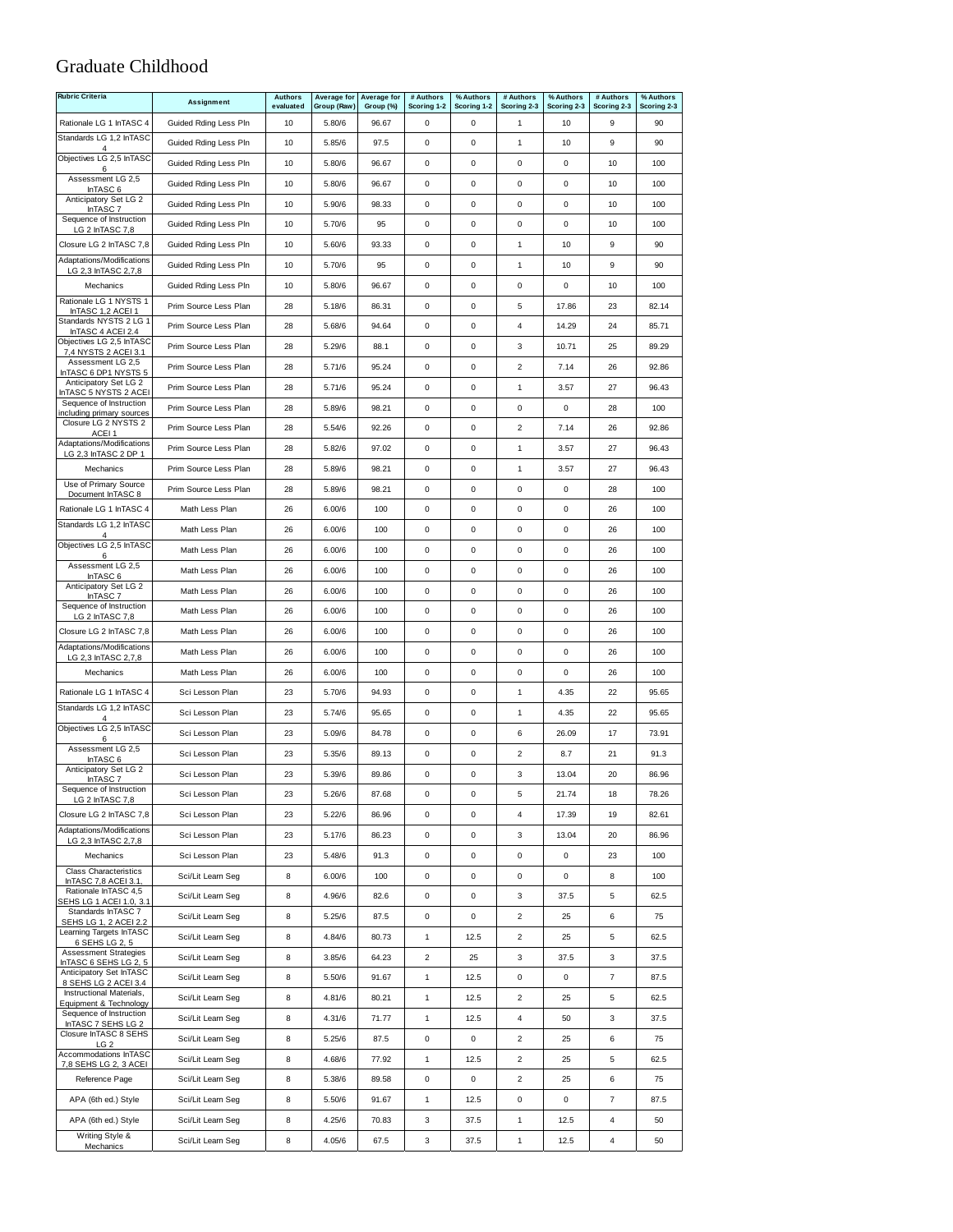#### Graduate Childhood

| <b>Rubric Criteria</b>                                             | Assignment            | <b>Authors</b><br>evaluated | Average for<br>Group (Raw) | Average for<br>Group (%) | # Authors<br>Scoring 1-2 | % Authors<br>Scoring 1-2 | # Authors<br>Scoring 2-3 | % Authors<br>Scoring 2-3 | # Authors<br>Scoring 2-3 | % Authors<br>Scoring 2-3 |
|--------------------------------------------------------------------|-----------------------|-----------------------------|----------------------------|--------------------------|--------------------------|--------------------------|--------------------------|--------------------------|--------------------------|--------------------------|
| Rationale LG 1 InTASC 4                                            | Guided Rding Less Pln | 10                          | 5.80/6                     | 96.67                    | $\pmb{0}$                | 0                        | $\mathbf{1}$             | 10                       | 9                        | 90                       |
| Standards LG 1,2 InTASC                                            | Guided Rding Less Pln | 10                          | 5.85/6                     | 97.5                     | 0                        | 0                        | $\mathbf{1}$             | 10                       | 9                        | 90                       |
| Objectives LG 2,5 InTASC                                           | Guided Rding Less Pln | 10                          | 5.80/6                     | 96.67                    | $\pmb{0}$                | $\mathbf 0$              | 0                        | 0                        | 10                       | 100                      |
| 6<br>Assessment LG 2,5                                             | Guided Rding Less Pln | 10                          | 5.80/6                     | 96.67                    | $\pmb{0}$                | 0                        | 0                        | $\pmb{0}$                | 10                       | 100                      |
| InTASC 6<br>Anticipatory Set LG 2                                  | Guided Rding Less Pln | 10                          | 5.90/6                     | 98.33                    | $\pmb{0}$                | 0                        | 0                        | 0                        | 10                       | 100                      |
| InTASC <sub>7</sub><br>Sequence of Instruction                     | Guided Rding Less Pln | 10                          | 5.70/6                     | 95                       | 0                        | 0                        | 0                        | 0                        | 10                       | 100                      |
| LG 2 InTASC 7,8                                                    |                       | 10                          |                            |                          | $\mathsf 0$              | $\pmb{0}$                | $\mathbf{1}$             | 10                       | 9                        | 90                       |
| Closure LG 2 InTASC 7,8<br>Adaptations/Modifications               | Guided Rding Less Pln |                             | 5.60/6                     | 93.33                    |                          | $\mathbf 0$              |                          |                          |                          |                          |
| LG 2,3 InTASC 2,7,8                                                | Guided Rding Less Pln | 10                          | 5.70/6                     | 95                       | $\pmb{0}$                |                          | $\mathbf{1}$             | 10                       | 9                        | 90                       |
| Mechanics<br>Rationale LG 1 NYSTS 1                                | Guided Rding Less Pln | 10                          | 5.80/6                     | 96.67                    | $\pmb{0}$                | 0                        | 0                        | 0                        | 10                       | 100                      |
| InTASC 1.2 ACEI 1<br>Standards NYSTS 2 LG 1                        | Prim Source Less Plan | 28                          | 5.18/6                     | 86.31                    | 0                        | 0                        | 5                        | 17.86                    | 23                       | 82.14                    |
| InTASC 4 ACEI 2.4<br>Objectives LG 2,5 InTASC                      | Prim Source Less Plan | 28                          | 5.68/6                     | 94.64                    | 0                        | $\mathbf 0$              | 4                        | 14.29                    | 24                       | 85.71                    |
| 7,4 NYSTS 2 ACEI 3.1<br>Assessment LG 2,5                          | Prim Source Less Plan | 28                          | 5.29/6                     | 88.1                     | 0                        | $\mathsf 0$              | 3                        | 10.71                    | 25                       | 89.29                    |
| InTASC 6 DP1 NYSTS 5<br>Anticipatory Set LG 2                      | Prim Source Less Plan | 28                          | 5.71/6                     | 95.24                    | 0                        | $\pmb{0}$                | $\overline{c}$           | 7.14                     | 26                       | 92.86                    |
| InTASC 5 NYSTS 2 ACEI                                              | Prim Source Less Plan | 28                          | 5.71/6                     | 95.24                    | $\pmb{0}$                | $\mathbf 0$              | $\mathbf{1}$             | 3.57                     | 27                       | 96.43                    |
| Sequence of Instruction<br>ncluding primary sources                | Prim Source Less Plan | 28                          | 5.89/6                     | 98.21                    | $\pmb{0}$                | 0                        | 0                        | 0                        | 28                       | 100                      |
| Closure LG 2 NYSTS 2<br>ACEI <sub>1</sub>                          | Prim Source Less Plan | 28                          | 5.54/6                     | 92.26                    | $\pmb{0}$                | $\mathsf 0$              | $\overline{2}$           | 7.14                     | 26                       | 92.86                    |
| Adaptations/Modifications<br>LG 2,3 InTASC 2 DP 1                  | Prim Source Less Plan | 28                          | 5.82/6                     | 97.02                    | 0                        | $\mathsf 0$              | $\mathbf{1}$             | 3.57                     | 27                       | 96.43                    |
| Mechanics                                                          | Prim Source Less Plan | 28                          | 5.89/6                     | 98.21                    | $\mathsf 0$              | $\pmb{0}$                | $\mathbf{1}$             | 3.57                     | 27                       | 96.43                    |
| Use of Primary Source<br>Document InTASC 8                         | Prim Source Less Plan | 28                          | 5.89/6                     | 98.21                    | $\pmb{0}$                | $\mathbf 0$              | $\mathbf 0$              | $\mathbf 0$              | 28                       | 100                      |
| Rationale LG 1 InTASC 4                                            | Math Less Plan        | 26                          | 6.00/6                     | 100                      | $\pmb{0}$                | $\mathsf 0$              | 0                        | 0                        | 26                       | 100                      |
| Standards LG 1,2 InTASC<br>$\overline{4}$                          | Math Less Plan        | 26                          | 6.00/6                     | 100                      | 0                        | $\pmb{0}$                | 0                        | 0                        | 26                       | 100                      |
| Objectives LG 2,5 InTASC<br>6                                      | Math Less Plan        | 26                          | 6.00/6                     | 100                      | 0                        | $\mathsf 0$              | 0                        | 0                        | 26                       | 100                      |
| Assessment LG 2,5<br>InTASC 6                                      | Math Less Plan        | 26                          | 6.00/6                     | 100                      | 0                        | $\mathsf 0$              | 0                        | 0                        | 26                       | 100                      |
| Anticipatory Set LG 2<br>InTASC <sub>7</sub>                       | Math Less Plan        | 26                          | 6.00/6                     | 100                      | 0                        | $\pmb{0}$                | 0                        | 0                        | 26                       | 100                      |
| Sequence of Instruction<br>LG 2 InTASC 7,8                         | Math Less Plan        | 26                          | 6.00/6                     | 100                      | $\pmb{0}$                | $\mathbf 0$              | 0                        | 0                        | 26                       | 100                      |
| Closure LG 2 InTASC 7,8                                            | Math Less Plan        | 26                          | 6.00/6                     | 100                      | $\pmb{0}$                | 0                        | 0                        | $\pmb{0}$                | 26                       | 100                      |
| Adaptations/Modifications<br>LG 2,3 InTASC 2,7,8                   | Math Less Plan        | 26                          | 6.00/6                     | 100                      | $\pmb{0}$                | 0                        | 0                        | 0                        | 26                       | 100                      |
| Mechanics                                                          | Math Less Plan        | 26                          | 6.00/6                     | 100                      | 0                        | 0                        | 0                        | 0                        | 26                       | 100                      |
| Rationale LG 1 InTASC 4                                            | Sci Lesson Plan       | 23                          | 5.70/6                     | 94.93                    | $\mathsf 0$              | $\mathbf 0$              | $\mathbf{1}$             | 4.35                     | 22                       | 95.65                    |
| Standards LG 1.2 InTASC                                            | Sci Lesson Plan       | 23                          | 5.74/6                     | 95.65                    | $\pmb{0}$                | 0                        | $\mathbf{1}$             | 4.35                     | 22                       | 95.65                    |
| Objectives LG 2,5 InTASC<br>6                                      | Sci Lesson Plan       | 23                          | 5.09/6                     | 84.78                    | 0                        | 0                        | 6                        | 26.09                    | 17                       | 73.91                    |
| Assessment LG 2,5<br>InTASC 6                                      | Sci Lesson Plan       | 23                          | 5.35/6                     | 89.13                    | 0                        | 0                        | $\overline{\mathbf{c}}$  | 8.7                      | 21                       | 91.3                     |
| Anticipatory Set LG 2<br>InTASC <sub>7</sub>                       | Sci Lesson Plan       | 23                          | 5.39/6                     | 89.86                    | $\pmb{0}$                | $\pmb{0}$                | 3                        | 13.04                    | 20                       | 86.96                    |
| Sequence of Instruction<br>LG 2 InTASC 7,8                         | Sci Lesson Plan       | 23                          | 5.26/6                     | 87.68                    | 0                        | $\pmb{0}$                | 5                        | 21.74                    | 18                       | 78.26                    |
| Closure LG 2 InTASC 7,8                                            | Sci Lesson Plan       | 23                          | 5.22/6                     | 86.96                    | $\mathsf 0$              | $\mathbf 0$              | $\overline{4}$           | 17.39                    | 19                       | 82.61                    |
| Adaptations/Modifications<br>LG 2,3 InTASC 2,7,8                   | Sci Lesson Plan       | 23                          | 5.17/6                     | 86.23                    | 0                        | 0                        | 3                        | 13.04                    | 20                       | 86.96                    |
| Mechanics                                                          | Sci Lesson Plan       | 23                          | 5.48/6                     | 91.3                     | 0                        | 0                        | 0                        | 0                        | 23                       | 100                      |
| <b>Class Characteristics</b><br>InTASC 7,8 ACEI 3.1,               | Sci/Lit Learn Seg     | 8                           | 6.00/6                     | 100                      | 0                        | 0                        | 0                        | 0                        | 8                        | 100                      |
| Rationale InTASC 4,5<br>SEHS LG 1 ACEI 1.0. 3.1                    | Sci/Lit Learn Seg     | 8                           | 4.96/6                     | 82.6                     | 0                        | 0                        | 3                        | 37.5                     | 5                        | 62.5                     |
| Standards InTASC 7                                                 | Sci/Lit Learn Seg     | 8                           | 5.25/6                     | 87.5                     | 0                        | 0                        | $\overline{c}$           | 25                       | 6                        | 75                       |
| SEHS LG 1, 2 ACEI 2.2<br>Learning Targets InTASC<br>6 SEHS LG 2, 5 | Sci/Lit Learn Seg     | 8                           | 4.84/6                     | 80.73                    | 1                        | 12.5                     | $\overline{2}$           | 25                       | 5                        | 62.5                     |
| <b>Assessment Strategies</b><br>InTASC 6 SEHS LG 2, 5              | Sci/Lit Learn Seg     | 8                           | 3.85/6                     | 64.23                    | $\overline{c}$           | 25                       | 3                        | 37.5                     | 3                        | 37.5                     |
| Anticipatory Set InTASC                                            | Sci/Lit Learn Seg     | 8                           | 5.50/6                     | 91.67                    | $\mathbf{1}$             | 12.5                     | 0                        | 0                        | $\overline{7}$           | 87.5                     |
| 8 SEHS LG 2 ACEI 3.4<br>Instructional Materials,                   | Sci/Lit Learn Seg     | 8                           | 4.81/6                     | 80.21                    | $\mathbf{1}$             | 12.5                     | $\overline{c}$           | 25                       | 5                        | 62.5                     |
| Equipment & Technology<br>Sequence of Instruction                  | Sci/Lit Learn Seg     | 8                           | 4.31/6                     | 71.77                    | $\mathbf{1}$             | 12.5                     | 4                        | 50                       | 3                        | 37.5                     |
| InTASC 7 SEHS LG 2<br>Closure InTASC 8 SEHS                        | Sci/Lit Learn Seg     | 8                           | 5.25/6                     | 87.5                     | $\mathsf 0$              | 0                        | $\overline{2}$           | 25                       | 6                        | 75                       |
| LG <sub>2</sub><br>Accommodations InTASC                           | Sci/Lit Learn Seg     | 8                           | 4.68/6                     | 77.92                    | $\mathbf{1}$             | 12.5                     | $\overline{c}$           | 25                       | 5                        | 62.5                     |
| 7,8 SEHS LG 2, 3 ACEI<br>Reference Page                            | Sci/Lit Learn Seg     | 8                           | 5.38/6                     | 89.58                    | 0                        | 0                        | $\overline{c}$           | 25                       | 6                        | 75                       |
| APA (6th ed.) Style                                                | Sci/Lit Learn Seg     | 8                           | 5.50/6                     | 91.67                    | $\mathbf{1}$             | 12.5                     | 0                        | 0                        | $\overline{7}$           | 87.5                     |
| APA (6th ed.) Style                                                | Sci/Lit Learn Seg     | 8                           | 4.25/6                     | 70.83                    | 3                        | 37.5                     | $\mathbf{1}$             | 12.5                     | 4                        | 50                       |
| Writing Style &                                                    | Sci/Lit Learn Seg     | 8                           | 4.05/6                     | 67.5                     | 3                        | 37.5                     | $\mathbf{1}$             | 12.5                     | $\overline{\mathbf{4}}$  | 50                       |
| Mechanics                                                          |                       |                             |                            |                          |                          |                          |                          |                          |                          |                          |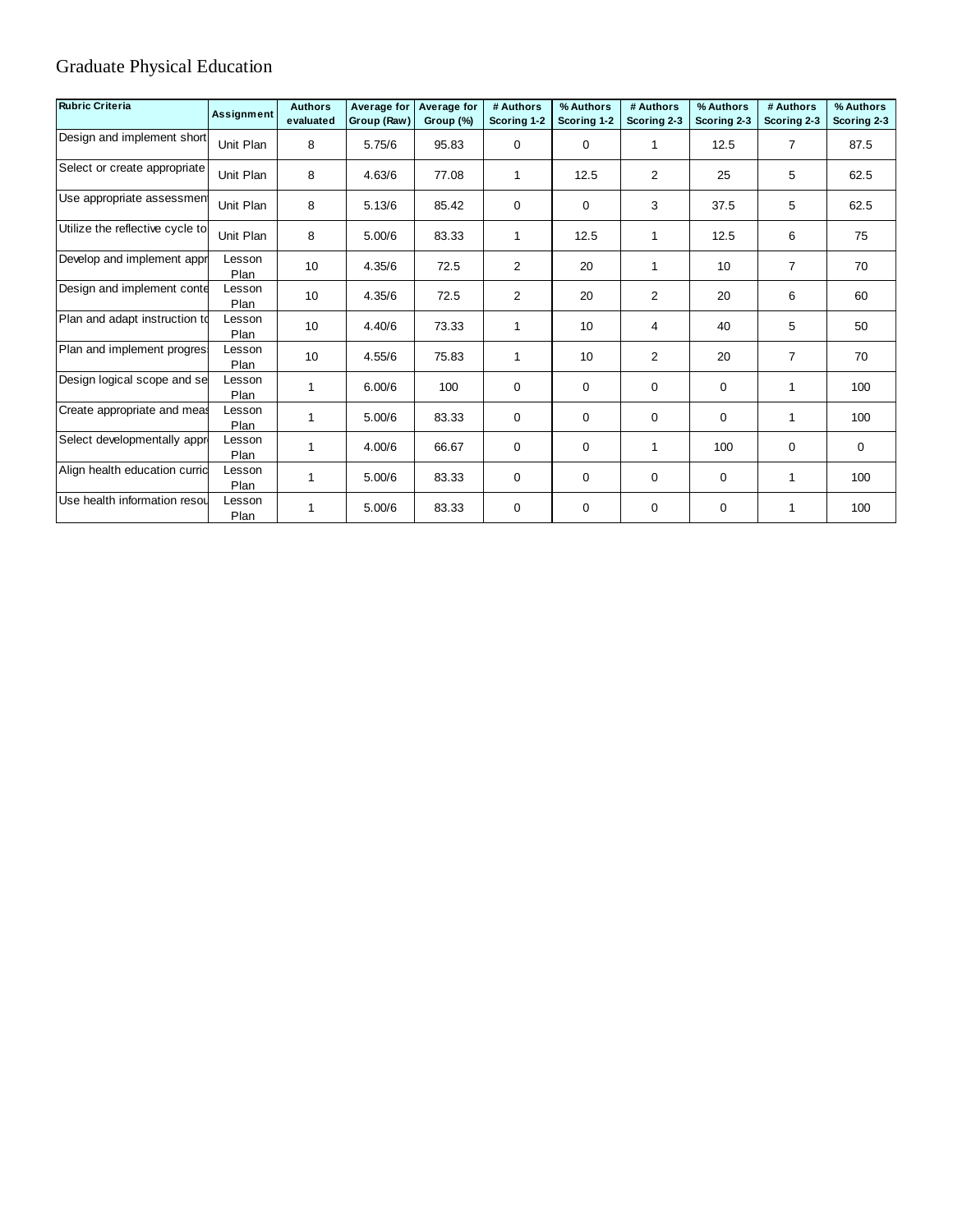## Graduate Physical Education

| <b>Rubric Criteria</b>          | <b>Assignment</b> | <b>Authors</b><br>evaluated | Average for<br>Group (Raw) | Average for<br>Group (%) | # Authors<br>Scoring 1-2 | % Authors<br>Scoring 1-2 | # Authors<br>Scoring 2-3 | % Authors<br>Scoring 2-3 | # Authors<br>Scoring 2-3 | % Authors<br>Scoring 2-3 |
|---------------------------------|-------------------|-----------------------------|----------------------------|--------------------------|--------------------------|--------------------------|--------------------------|--------------------------|--------------------------|--------------------------|
| Design and implement short      | Unit Plan         | 8                           | 5.75/6                     | 95.83                    | $\mathbf 0$              | $\mathbf 0$              | $\mathbf{1}$             | 12.5                     | $\overline{7}$           | 87.5                     |
| Select or create appropriate    | Unit Plan         | 8                           | 4.63/6                     | 77.08                    | $\mathbf{1}$             | 12.5                     | 2                        | 25                       | 5                        | 62.5                     |
| Use appropriate assessment      | Unit Plan         | 8                           | 5.13/6                     | 85.42                    | 0                        | 0                        | 3                        | 37.5                     | 5                        | 62.5                     |
| Utilize the reflective cycle to | Unit Plan         | 8                           | 5.00/6                     | 83.33                    | $\mathbf{1}$             | 12.5                     | $\mathbf{1}$             | 12.5                     | 6                        | 75                       |
| Develop and implement appr      | Lesson<br>Plan    | 10                          | 4.35/6                     | 72.5                     | $\overline{2}$           | 20                       | $\mathbf{1}$             | 10                       | $\overline{7}$           | 70                       |
| Design and implement conte      | Lesson<br>Plan    | 10                          | 4.35/6                     | 72.5                     | $\overline{2}$           | 20                       | $\overline{2}$           | 20                       | 6                        | 60                       |
| Plan and adapt instruction to   | Lesson<br>Plan    | 10                          | 4.40/6                     | 73.33                    | $\mathbf 1$              | 10                       | 4                        | 40                       | 5                        | 50                       |
| Plan and implement progres.     | Lesson<br>Plan    | 10                          | 4.55/6                     | 75.83                    | $\mathbf{1}$             | 10                       | 2                        | 20                       | 7                        | 70                       |
| Design logical scope and se     | Lesson<br>Plan    |                             | 6.00/6                     | 100                      | $\mathbf 0$              | $\mathbf 0$              | 0                        | $\mathbf 0$              |                          | 100                      |
| Create appropriate and meas     | Lesson<br>Plan    |                             | 5.00/6                     | 83.33                    | 0                        | $\mathbf 0$              | $\mathbf 0$              | $\mathbf 0$              |                          | 100                      |
| Select developmentally appr     | Lesson<br>Plan    |                             | 4.00/6                     | 66.67                    | 0                        | $\mathbf 0$              | $\mathbf{1}$             | 100                      | 0                        | $\mathbf 0$              |
| Align health education currid   | Lesson<br>Plan    |                             | 5.00/6                     | 83.33                    | 0                        | $\mathbf 0$              | 0                        | $\mathbf 0$              |                          | 100                      |
| Use health information resou    | Lesson<br>Plan    |                             | 5.00/6                     | 83.33                    | 0                        | 0                        | $\mathbf 0$              | $\mathbf 0$              |                          | 100                      |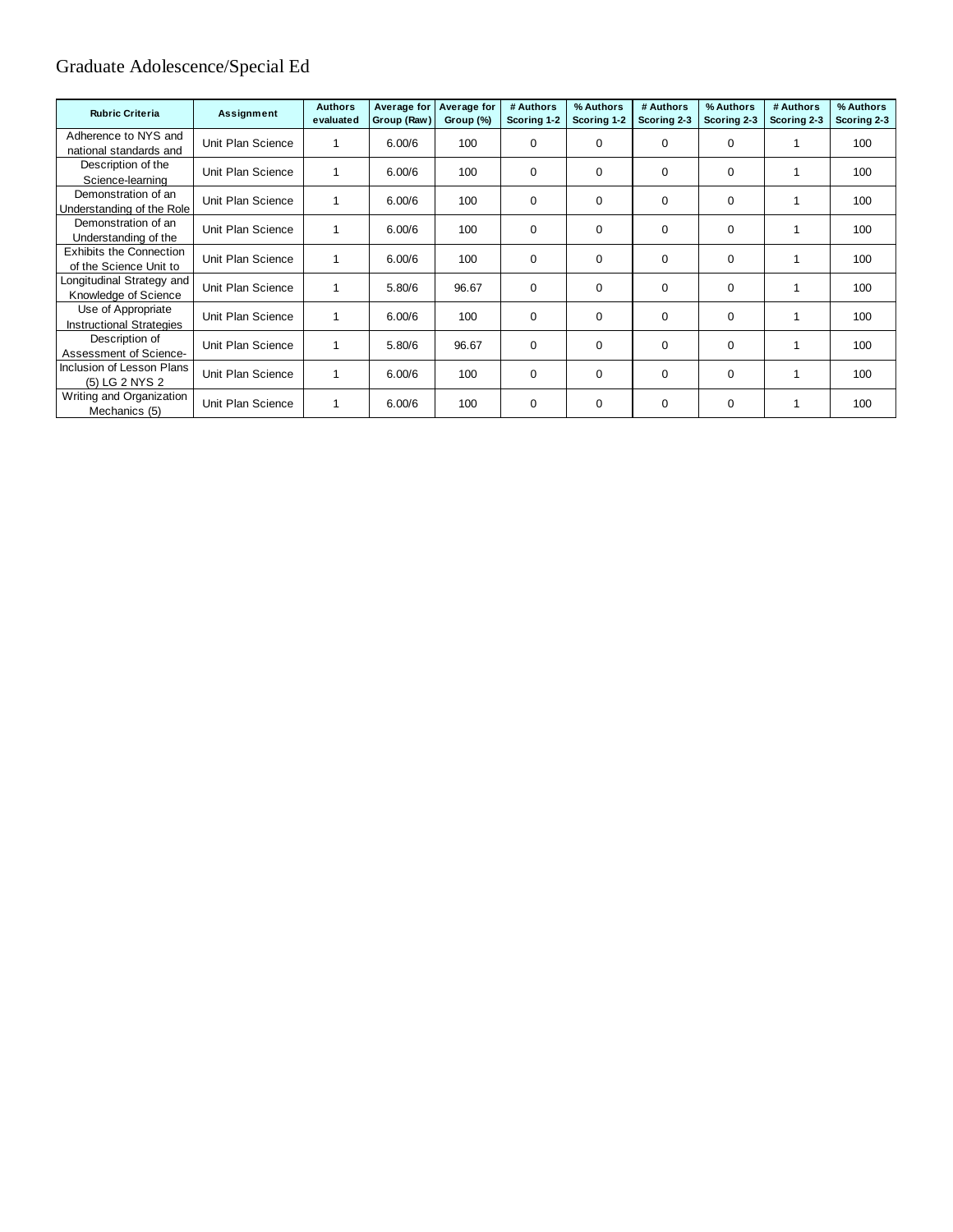## Graduate Adolescence/Special Ed

| <b>Rubric Criteria</b>                                   | <b>Assignment</b> | <b>Authors</b><br>evaluated | Average for<br>Group (Raw) | <b>Average for</b><br>Group (%) | # Authors<br>Scoring 1-2 | % Authors<br>Scoring 1-2 | # Authors<br>Scoring 2-3 | % Authors<br>Scoring 2-3 | # Authors<br>Scoring 2-3 | % Authors<br>Scoring 2-3 |
|----------------------------------------------------------|-------------------|-----------------------------|----------------------------|---------------------------------|--------------------------|--------------------------|--------------------------|--------------------------|--------------------------|--------------------------|
| Adherence to NYS and<br>national standards and           | Unit Plan Science |                             | 6.00/6                     | 100                             | $\mathbf 0$              | 0                        | $\Omega$                 | 0                        |                          | 100                      |
| Description of the<br>Science-learning                   | Unit Plan Science |                             | 6.00/6                     | 100                             | 0                        | $\mathbf 0$              | 0                        | $\Omega$                 |                          | 100                      |
| Demonstration of an<br>Understanding of the Role         | Unit Plan Science |                             | 6.00/6                     | 100                             | 0                        | $\mathbf 0$              | $\Omega$                 | $\Omega$                 |                          | 100                      |
| Demonstration of an<br>Understanding of the              | Unit Plan Science |                             | 6.00/6                     | 100                             | $\mathbf 0$              | $\mathbf 0$              | $\Omega$                 | $\Omega$                 |                          | 100                      |
| <b>Exhibits the Connection</b><br>of the Science Unit to | Unit Plan Science |                             | 6.00/6                     | 100                             | $\mathbf 0$              | 0                        | 0                        | $\mathbf 0$              |                          | 100                      |
| Longitudinal Strategy and<br>Knowledge of Science        | Unit Plan Science |                             | 5.80/6                     | 96.67                           | $\mathbf 0$              | $\mathbf 0$              | $\Omega$                 | $\Omega$                 |                          | 100                      |
| Use of Appropriate<br><b>Instructional Strategies</b>    | Unit Plan Science |                             | 6.00/6                     | 100                             | 0                        | $\mathbf 0$              | $\Omega$                 | $\Omega$                 |                          | 100                      |
| Description of<br>Assessment of Science-                 | Unit Plan Science |                             | 5.80/6                     | 96.67                           | $\mathbf 0$              | $\mathbf 0$              | $\Omega$                 | $\Omega$                 |                          | 100                      |
| Inclusion of Lesson Plans<br>(5) LG 2 NYS 2              | Unit Plan Science |                             | 6.00/6                     | 100                             | $\mathbf 0$              | $\mathbf 0$              | 0                        | $\Omega$                 |                          | 100                      |
| Writing and Organization<br>Mechanics (5)                | Unit Plan Science |                             | 6.00/6                     | 100                             | 0                        | 0                        | 0                        | 0                        |                          | 100                      |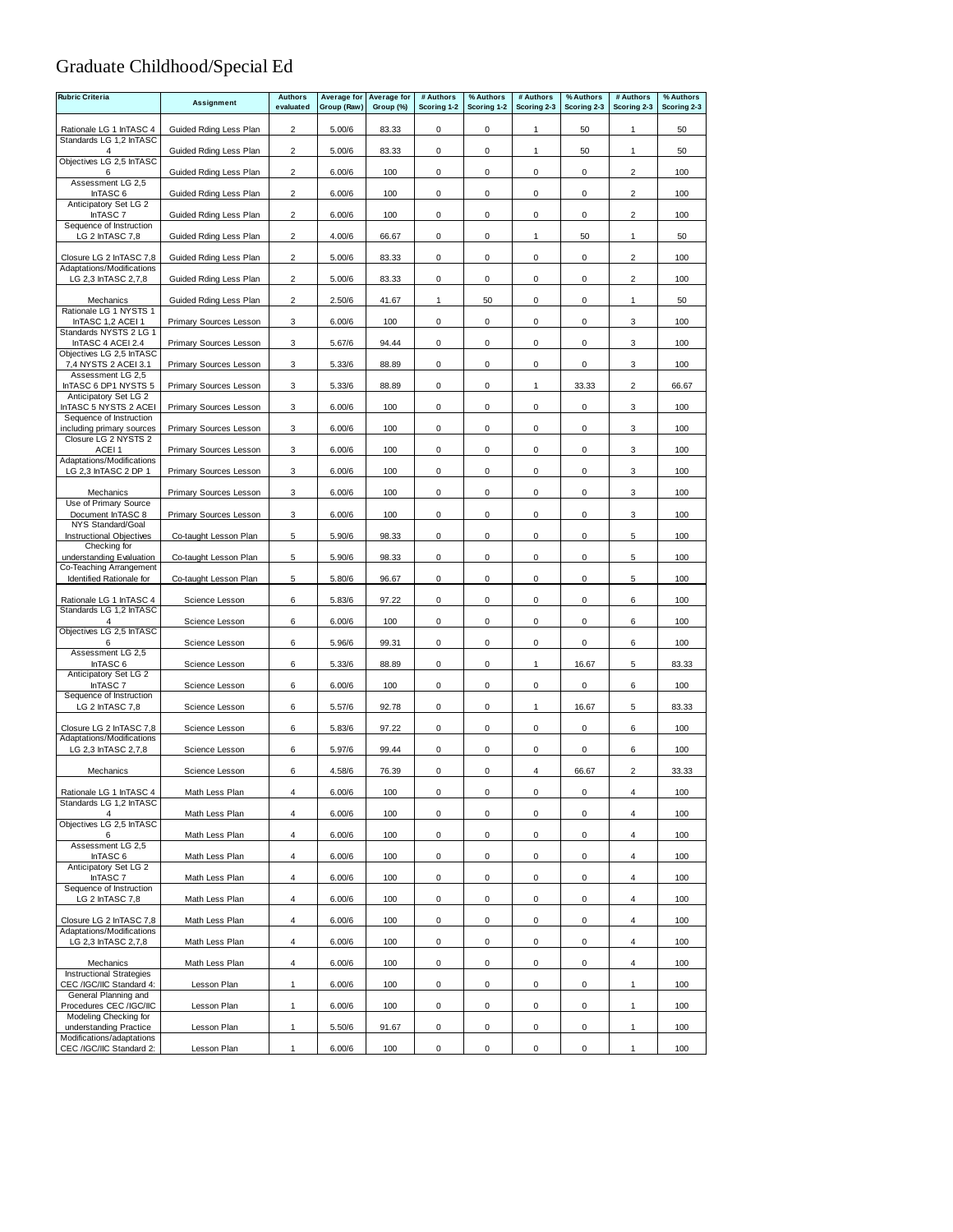## Graduate Childhood/Special Ed

| <b>Rubric Criteria</b>                                | Assignment                    | <b>Authors</b><br>evaluated | Average for | Average for<br>Group (%) | # Authors           | % Authors           | # Authors<br>Scoring 2-3 | % Authors<br>Scoring 2-3 | # Authors<br>Scoring 2-3 | % Authors<br>Scoring 2-3 |
|-------------------------------------------------------|-------------------------------|-----------------------------|-------------|--------------------------|---------------------|---------------------|--------------------------|--------------------------|--------------------------|--------------------------|
|                                                       |                               |                             | Group (Raw) |                          | Scoring 1-2         | Scoring 1-2         |                          |                          |                          |                          |
| Rationale LG 1 InTASC 4<br>Standards LG 1,2 InTASC    | Guided Rding Less Plan        | $\overline{2}$              | 5.00/6      | 83.33                    | 0                   | 0                   | 1                        | 50                       | 1                        | 50                       |
| $\overline{4}$<br>Objectives LG 2,5 InTASC            | Guided Rding Less Plan        | $\overline{2}$              | 5.00/6      | 83.33                    | 0                   | 0                   | $\mathbf{1}$             | 50                       | 1                        | 50                       |
| 6<br>Assessment LG 2,5                                | Guided Rding Less Plan        | $\overline{2}$              | 6.00/6      | 100                      | 0                   | 0                   | 0                        | $\mathsf 0$              | 2                        | 100                      |
| InTASC 6                                              | Guided Rding Less Plan        | $\overline{2}$              | 6.00/6      | 100                      | $\mathsf 0$         | 0                   | $\mathsf 0$              | $\pmb{0}$                | $\overline{c}$           | 100                      |
| Anticipatory Set LG 2<br>InTASC <sub>7</sub>          | Guided Rding Less Plan        | $\overline{2}$              | 6.00/6      | 100                      | $\mathbf 0$         | 0                   | $\mathsf 0$              | 0                        | $\overline{2}$           | 100                      |
| Sequence of Instruction<br>LG 2 InTASC 7,8            | Guided Rding Less Plan        | $\overline{2}$              | 4.00/6      | 66.67                    | 0                   | 0                   | $\mathbf{1}$             | 50                       | 1                        | 50                       |
| Closure LG 2 InTASC 7,8                               | Guided Rding Less Plan        | 2                           | 5.00/6      | 83.33                    | 0                   | 0                   | 0                        | 0                        | 2                        | 100                      |
| Adaptations/Modifications                             |                               |                             |             |                          |                     |                     |                          |                          |                          |                          |
| LG 2,3 InTASC 2,7,8                                   | Guided Rding Less Plan        | $\overline{2}$              | 5.00/6      | 83.33                    | 0                   | 0                   | $\mathsf 0$              | $\mathbf 0$              | $\overline{\mathbf{c}}$  | 100                      |
| Mechanics<br>Rationale LG 1 NYSTS 1                   | Guided Rding Less Plan        | $\overline{2}$              | 2.50/6      | 41.67                    | $\mathbf{1}$        | 50                  | $\mathsf 0$              | $\mathsf 0$              | $\mathbf{1}$             | 50                       |
| InTASC 1,2 ACEI 1<br>Standards NYSTS 2 LG 1           | Primary Sources Lesson        | 3                           | 6.00/6      | 100                      | 0                   | $\mathsf 0$         | 0                        | $\mathsf 0$              | 3                        | 100                      |
| InTASC 4 ACEI 2.4<br>Objectives LG 2,5 InTASC         | Primary Sources Lesson        | 3                           | 5.67/6      | 94.44                    | 0                   | 0                   | $\mathsf 0$              | $\mathsf 0$              | 3                        | 100                      |
| 7,4 NYSTS 2 ACEI 3.1<br>Assessment LG 2,5             | Primary Sources Lesson        | 3                           | 5.33/6      | 88.89                    | 0                   | 0                   | 0                        | 0                        | 3                        | 100                      |
| InTASC 6 DP1 NYSTS 5                                  | <b>Primary Sources Lesson</b> | 3                           | 5.33/6      | 88.89                    | 0                   | 0                   | $\mathbf{1}$             | 33.33                    | 2                        | 66.67                    |
| Anticipatory Set LG 2<br>InTASC 5 NYSTS 2 ACEI        | Primary Sources Lesson        | 3                           | 6.00/6      | 100                      | 0                   | 0                   | $\mathsf 0$              | $\mathsf 0$              | 3                        | 100                      |
| Sequence of Instruction<br>including primary sources  | Primary Sources Lesson        | 3                           | 6.00/6      | 100                      | 0                   | 0                   | $\mathsf 0$              | $\mathbf 0$              | 3                        | 100                      |
| Closure LG 2 NYSTS 2<br>ACEI <sub>1</sub>             | Primary Sources Lesson        | 3                           | 6.00/6      | 100                      | $\mathsf 0$         | 0                   | $\mathsf 0$              | $\mathsf 0$              | 3                        | 100                      |
| Adaptations/Modifications<br>LG 2,3 InTASC 2 DP 1     | Primary Sources Lesson        | 3                           | 6.00/6      | 100                      | 0                   | 0                   | 0                        | $\mathsf 0$              | 3                        | 100                      |
|                                                       |                               |                             |             |                          |                     |                     |                          |                          |                          |                          |
| Mechanics<br>Use of Primary Source                    | Primary Sources Lesson        | 3                           | 6.00/6      | 100                      | 0                   | 0                   | $\mathsf 0$              | $\mathsf 0$              | 3                        | 100                      |
| Document InTASC 8<br>NYS Standard/Goal                | Primary Sources Lesson        | 3                           | 6.00/6      | 100                      | 0                   | 0                   | 0                        | 0                        | 3                        | 100                      |
| <b>Instructional Objectives</b><br>Checking for       | Co-taught Lesson Plan         | 5                           | 5.90/6      | 98.33                    | $\mathsf 0$         | 0                   | $\mathsf 0$              | $\mathbf 0$              | 5                        | 100                      |
| understanding Evaluation<br>Co-Teaching Arrangement   | Co-taught Lesson Plan         | 5                           | 5.90/6      | 98.33                    | 0                   | 0                   | $\mathsf 0$              | $\pmb{0}$                | 5                        | 100                      |
| Identified Rationale for                              | Co-taught Lesson Plan         | 5                           | 5.80/6      | 96.67                    | 0                   | 0                   | 0                        | $\pmb{0}$                | 5                        | 100                      |
| Rationale LG 1 InTASC 4                               | Science Lesson                | 6                           | 5.83/6      | 97.22                    | 0                   | 0                   | $\mathsf 0$              | $\mathsf 0$              | 6                        | 100                      |
| Standards LG 1,2 InTASC<br>4                          | Science Lesson                | 6                           | 6.00/6      | 100                      | 0                   | 0                   | 0                        | 0                        | 6                        | 100                      |
| Objectives LG 2,5 InTASC<br>6                         | Science Lesson                | 6                           | 5.96/6      | 99.31                    | 0                   | 0                   | $\mathsf 0$              | 0                        | 6                        | 100                      |
| Assessment LG 2,5<br>InTASC 6                         | Science Lesson                | 6                           | 5.33/6      | 88.89                    | 0                   | 0                   | $\mathbf{1}$             | 16.67                    | 5                        | 83.33                    |
| Anticipatory Set LG 2<br>InTASC <sub>7</sub>          | Science Lesson                | 6                           | 6.00/6      | 100                      | $\mathsf 0$         | 0                   | $\mathsf 0$              | $\mathbf 0$              | 6                        | 100                      |
| Sequence of Instruction                               |                               |                             |             |                          |                     |                     |                          |                          |                          |                          |
| LG 2 InTASC 7,8                                       | Science Lesson                | 6                           | 5.57/6      | 92.78                    | 0                   | 0                   | $\mathbf{1}$             | 16.67                    | 5                        | 83.33                    |
| Closure LG 2 InTASC 7,8<br>Adaptations/Modifications  | Science Lesson                | 6                           | 5.83/6      | 97.22                    | 0                   | 0                   | $\mathsf 0$              | $\mathsf 0$              | 6                        | 100                      |
| LG 2,3 InTASC 2,7,8                                   | Science Lesson                | 6                           | 5.97/6      | 99.44                    | 0                   | 0                   | $\mathsf 0$              | $\pmb{0}$                | 6                        | 100                      |
| Mechanics                                             | Science Lesson                | 6                           | 4.58/6      | 76.39                    | 0                   | 0                   | 4                        | 66.67                    | 2                        | 33.33                    |
| Rationale LG 1 InTASC 4<br>Standards LG 1,2 InTASC    | Math Less Plan                | $\overline{4}$              | 6.00/6      | 100                      | 0                   | 0                   | $\pmb{0}$                | $\pmb{0}$                | 4                        | 100                      |
| $\overline{4}$                                        | Math Less Plan                | $\overline{4}$              | 6.00/6      | 100                      | $\mathsf{O}\xspace$ | 0                   | $\mathsf 0$              | 0                        | $\overline{4}$           | 100                      |
| Objectives LG 2,5 InTASC<br>6                         | Math Less Plan                | $\overline{4}$              | 6.00/6      | 100                      | $\mathsf 0$         | $\mathsf{O}\xspace$ | 0                        | $\mathbf 0$              | $\overline{4}$           | 100                      |
| Assessment LG 2,5<br>InTASC 6                         | Math Less Plan                | $\overline{4}$              | 6.00/6      | 100                      | 0                   | $\pmb{0}$           | 0                        | $\mathsf{O}\xspace$      | $\overline{4}$           | 100                      |
| Anticipatory Set LG 2<br>InTASC <sub>7</sub>          | Math Less Plan                | $\overline{4}$              | 6.00/6      | 100                      | 0                   | $\pmb{0}$           | 0                        | 0                        | $\overline{4}$           | 100                      |
| Sequence of Instruction<br>LG 2 InTASC 7,8            | Math Less Plan                | $\overline{4}$              | 6.00/6      | 100                      | $\mathsf 0$         | 0                   | $\pmb{0}$                | $\mathsf 0$              | 4                        | 100                      |
|                                                       |                               |                             |             |                          |                     |                     |                          |                          |                          |                          |
| Closure LG 2 InTASC 7,8<br>Adaptations/Modifications  | Math Less Plan                | $\overline{4}$              | 6.00/6      | 100                      | 0                   | 0                   | 0                        | 0                        | $\overline{4}$           | 100                      |
| LG 2,3 InTASC 2,7,8                                   | Math Less Plan                | 4                           | 6.00/6      | 100                      | 0                   | 0                   | 0                        | $\pmb{0}$                | 4                        | 100                      |
| Mechanics<br><b>Instructional Strategies</b>          | Math Less Plan                | $\overline{4}$              | 6.00/6      | 100                      | $\mathsf 0$         | $\mathsf{O}\xspace$ | 0                        | $\mathbf 0$              | $\overline{4}$           | 100                      |
| CEC /IGC/IIC Standard 4:<br>General Planning and      | Lesson Plan                   | $\mathbf{1}$                | 6.00/6      | 100                      | $\mathsf 0$         | $\mathsf 0$         | $\mathbf 0$              | $\mathsf 0$              | $\mathbf{1}$             | 100                      |
| Procedures CEC /IGC/IIC                               | Lesson Plan                   | $\mathbf{1}$                | 6.00/6      | 100                      | 0                   | 0                   | 0                        | 0                        | $\mathbf{1}$             | 100                      |
| Modeling Checking for<br>understanding Practice       | Lesson Plan                   | $\mathbf{1}$                | 5.50/6      | 91.67                    | 0                   | 0                   | 0                        | 0                        | $\mathbf{1}$             | 100                      |
| Modifications/adaptations<br>CEC /IGC/IIC Standard 2: | Lesson Plan                   | $\mathbf{1}$                | 6.00/6      | 100                      | 0                   | 0                   | 0                        | 0                        | 1                        | 100                      |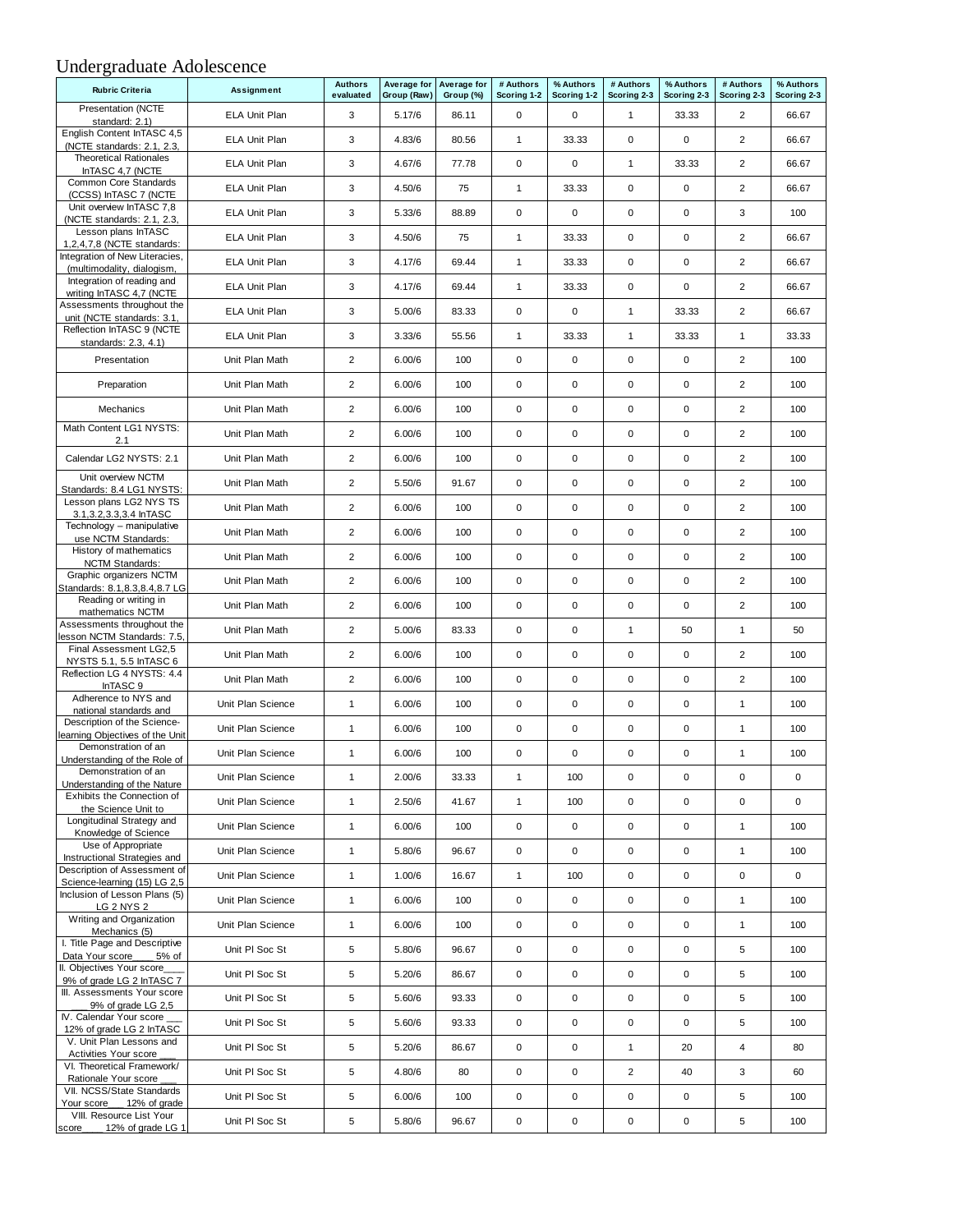#### Undergraduate Adolescence

| Average for Average for<br><b>Rubric Criteria</b><br><b>Assignment</b><br>evaluated<br>Group (Raw)<br>Group (%)<br>Scoring 1-2<br>Scoring 1-2<br>Scoring 2-3<br>Scoring 2-3<br>Scoring 2-3<br><b>Presentation (NCTE</b> | Scoring 2-3<br>66.67 |
|-------------------------------------------------------------------------------------------------------------------------------------------------------------------------------------------------------------------------|----------------------|
|                                                                                                                                                                                                                         |                      |
| ELA Unit Plan<br>3<br>5.17/6<br>86.11<br>0<br>0<br>33.33<br>2<br>$\mathbf{1}$<br>standard: 2.1)                                                                                                                         |                      |
| English Content InTASC 4,5<br>$\overline{2}$<br>3<br>$\mathbf{1}$<br>$\mathbf 0$<br>$\mathbf 0$<br><b>ELA Unit Plan</b><br>4.83/6<br>80.56<br>33.33<br>(NCTE standards: 2.1, 2.3,                                       | 66.67                |
| <b>Theoretical Rationales</b><br>3<br>0<br>$\pmb{0}$<br>$\mathbf{1}$<br>$\overline{2}$<br>ELA Unit Plan<br>4.67/6<br>77.78<br>33.33<br>InTASC 4,7 (NCTE                                                                 | 66.67                |
| Common Core Standards<br>$\mathbf 0$<br>$\overline{2}$<br>ELA Unit Plan<br>3<br>4.50/6<br>75<br>1<br>$\mathbf 0$<br>33.33<br>(CCSS) InTASC 7 (NCTE                                                                      | 66.67                |
| Unit overview InTASC 7,8<br>3<br>0<br>$\mathbf 0$<br>$\mathbf 0$<br>0<br>3<br><b>ELA Unit Plan</b><br>5.33/6<br>88.89<br>(NCTE standards: 2.1, 2.3,                                                                     | 100                  |
| Lesson plans InTASC<br>3<br>$\mathbf{1}$<br>$\mathbf 0$<br>0<br>$\overline{c}$<br>ELA Unit Plan<br>4.50/6<br>33.33<br>75<br>1,2,4,7,8 (NCTE standards:                                                                  | 66.67                |
| Integration of New Literacies,<br>3<br>$\mathbf{1}$<br>$\mathbf 0$<br>$\mathbf 0$<br>$\overline{2}$<br>ELA Unit Plan<br>4.17/6<br>69.44<br>33.33<br>(multimodality, dialogism,                                          | 66.67                |
| Integration of reading and<br>2<br>3<br>$\mathbf{1}$<br>$\mathbf 0$<br>0<br><b>ELA Unit Plan</b><br>4.17/6<br>69.44<br>33.33<br>writing InTASC 4,7 (NCTE                                                                | 66.67                |
| Assessments throughout the<br>3<br>0<br>$\mathbf 0$<br>$\mathbf{1}$<br>$\overline{2}$<br>ELA Unit Plan<br>5.00/6<br>83.33<br>33.33<br>unit (NCTE standards: 3.1,                                                        | 66.67                |
| Reflection InTASC 9 (NCTE<br>3<br>$\mathbf{1}$<br>$\mathbf{1}$<br>$\mathbf{1}$<br>ELA Unit Plan<br>3.33/6<br>55.56<br>33.33<br>33.33<br>standards: 2.3, 4.1)                                                            | 33.33                |
| $\overline{2}$<br>0<br>$\mathbf 0$<br>$\mathbf 0$<br>0<br>$\overline{2}$<br>Presentation<br>Unit Plan Math<br>6.00/6<br>100                                                                                             | 100                  |
| $\overline{2}$<br>0<br>$\mathbf 0$<br>0<br>$\overline{2}$<br>Unit Plan Math<br>6.00/6<br>100<br>$\mathbf 0$<br>Preparation                                                                                              | 100                  |
| $\overline{2}$<br>0<br>$\mathbf 0$<br>$\mathbf 0$<br>0<br>$\overline{2}$<br>Unit Plan Math<br>6.00/6<br>100<br><b>Mechanics</b>                                                                                         | 100                  |
| Math Content LG1 NYSTS:<br>$\overline{2}$<br>0<br>$\mathbf 0$<br>$\mathsf 0$<br>0<br>$\overline{c}$<br>Unit Plan Math<br>6.00/6<br>100<br>2.1                                                                           | 100                  |
| Calendar LG2 NYSTS: 2.1<br>$\overline{2}$<br>0<br>$\mathbf 0$<br>$\mathbf 0$<br>0<br>$\overline{2}$<br>Unit Plan Math<br>6.00/6<br>100                                                                                  | 100                  |
| Unit overview NCTM<br>$\overline{2}$<br>0<br>$\mathbf 0$<br>0<br>$\overline{2}$<br>Unit Plan Math<br>5.50/6<br>91.67<br>$\mathbf 0$<br>Standards: 8.4 LG1 NYSTS:                                                        | 100                  |
| Lesson plans LG2 NYS TS<br>$\overline{2}$<br>0<br>$\mathbf 0$<br>$\mathsf 0$<br>0<br>$\overline{2}$<br>Unit Plan Math<br>6.00/6<br>100<br>3.1, 3.2, 3.3, 3.4 In TASC                                                    | 100                  |
| Technology - manipulative<br>$\mathbf 0$<br>$\overline{2}$<br>0<br>$\mathbf 0$<br>0<br>$\overline{2}$<br>Unit Plan Math<br>6.00/6<br>100<br>use NCTM Standards:                                                         | 100                  |
| History of mathematics<br>$\overline{2}$<br>0<br>$\mathbf 0$<br>0<br>$\overline{2}$<br>Unit Plan Math<br>6.00/6<br>100<br>$\mathbf 0$<br>NCTM Standards:                                                                | 100                  |
| Graphic organizers NCTM<br>$\overline{2}$<br>0<br>$\mathbf 0$<br>0<br>$\overline{2}$<br>Unit Plan Math<br>6.00/6<br>100<br>$\mathbf 0$<br>Standards: 8.1, 8.3, 8.4, 8.7 LG                                              | 100                  |
| Reading or writing in<br>$\overline{2}$<br>0<br>$\mathbf 0$<br>$\mathbf 0$<br>$\mathbf 0$<br>$\overline{2}$<br>Unit Plan Math<br>6.00/6<br>100<br>mathematics NCTM                                                      | 100                  |
| Assessments throughout the<br>$\overline{\mathbf{c}}$<br>0<br>Unit Plan Math<br>5.00/6<br>83.33<br>$\mathbf 0$<br>$\mathbf{1}$<br>50<br>$\mathbf{1}$<br>lesson NCTM Standards: 7.5,                                     | 50                   |
| Final Assessment LG2,5<br>$\overline{2}$<br>0<br>$\overline{2}$<br>Unit Plan Math<br>100<br>$\mathbf 0$<br>$\mathbf 0$<br>0<br>6.00/6<br>NYSTS 5.1, 5.5 InTASC 6                                                        | 100                  |
| Reflection LG 4 NYSTS: 4.4<br>$\overline{2}$<br>0<br>$\mathbf 0$<br>$\mathbf 0$<br>0<br>$\overline{2}$<br>Unit Plan Math<br>6.00/6<br>100<br>InTASC 9                                                                   | 100                  |
| Adherence to NYS and<br>0<br>$\mathbf 0$<br>$\mathsf 0$<br>0<br>Unit Plan Science<br>$\mathbf{1}$<br>6.00/6<br>100<br>$\mathbf{1}$<br>national standards and                                                            | 100                  |
| Description of the Science-<br>0<br>$\mathbf 0$<br>$\mathbf 0$<br>0<br>$\mathbf{1}$<br>Unit Plan Science<br>$\mathbf{1}$<br>6.00/6<br>100<br>learning Objectives of the Unit                                            | 100                  |
| Demonstration of an<br>0<br>$\mathbf 0$<br>0<br>$\mathbf{1}$<br>Unit Plan Science<br>$\mathbf{1}$<br>6.00/6<br>100<br>$\mathbf 0$<br>Understanding of the Role of                                                       | 100                  |
| Demonstration of an<br>Unit Plan Science<br>$\mathbf{1}$<br>2.00/6<br>33.33<br>$\mathbf{1}$<br>100<br>0<br>0<br>0<br>Understanding of the Nature                                                                        | 0                    |
| Exhibits the Connection of<br>$\mathbf{1}$<br>$\mathbf{1}$<br>$\mathbf 0$<br>0<br>$\mathbf 0$<br>Unit Plan Science<br>2.50/6<br>41.67<br>100<br>the Science Unit to                                                     | $\mathbf 0$          |
| Longitudinal Strategy and<br>$\mathbf{1}$<br>0<br>0<br>0<br>0<br>$\mathbf{1}$<br>Unit Plan Science<br>6.00/6<br>100<br>Knowledge of Science                                                                             | 100                  |
| Use of Appropriate<br>0<br>0<br>Unit Plan Science<br>$\mathbf{1}$<br>5.80/6<br>96.67<br>0<br>0<br>$\mathbf{1}$<br>Instructional Strategies and                                                                          | 100                  |
| Description of Assessment of<br>$\mathbf{1}$<br>$\mathbf{1}$<br>0<br>0<br>$\mathbf 0$<br>Unit Plan Science<br>1.00/6<br>16.67<br>100<br>Science-learning (15) LG 2,5                                                    | $\mathbf 0$          |
| Inclusion of Lesson Plans (5)<br>$\mathbf{1}$<br>0<br>0<br>0<br>Unit Plan Science<br>6.00/6<br>100<br>0<br>$\mathbf{1}$<br>LG 2 NYS 2                                                                                   | 100                  |
| Writing and Organization<br>$\mathbf{1}$<br>0<br>$\pmb{0}$<br>0<br>0<br>$\mathbf{1}$<br>Unit Plan Science<br>6.00/6<br>100<br>Mechanics (5)                                                                             | 100                  |
| I. Title Page and Descriptive<br>5<br>0<br>0<br>0<br>5<br>Unit PI Soc St<br>5.80/6<br>96.67<br>0<br>Data Your score<br>5% of                                                                                            | 100                  |
| II. Objectives Your score_<br>5<br>0<br>$\pmb{0}$<br>0<br>0<br>5<br>Unit PI Soc St<br>5.20/6<br>86.67<br>9% of grade LG 2 InTASC 7                                                                                      | 100                  |
| III. Assessments Your score<br>5<br>0<br>$\pmb{0}$<br>$\mathbf 0$<br>0<br>5<br>Unit PI Soc St<br>5.60/6<br>93.33<br>9% of grade LG 2,5                                                                                  | 100                  |
| IV. Calendar Your score __<br>5<br>0<br>$\pmb{0}$<br>$\mathbf 0$<br>0<br>5<br>Unit PI Soc St<br>5.60/6<br>93.33<br>12% of grade LG 2 InTASC                                                                             | 100                  |
| V. Unit Plan Lessons and<br>5<br>$\overline{4}$<br>Unit PI Soc St<br>5.20/6<br>86.67<br>0<br>$\mathbf 0$<br>$\mathbf{1}$<br>20<br>Activities Your score                                                                 | 80                   |
| VI. Theoretical Framework/<br>5<br>0<br>$\pmb{0}$<br>$\overline{2}$<br>3<br>Unit PI Soc St<br>4.80/6<br>40<br>80<br>Rationale Your score                                                                                | 60                   |
| VII. NCSS/State Standards<br>5<br>0<br>Unit PI Soc St<br>6.00/6<br>100<br>0<br>0<br>0<br>5<br>Your score 12% of grade                                                                                                   | 100                  |
| VIII. Resource List Your<br>5<br>0<br>$\pmb{0}$<br>0<br>0<br>5<br>Unit PI Soc St<br>5.80/6<br>96.67<br>12% of grade LG 1<br>score_                                                                                      | 100                  |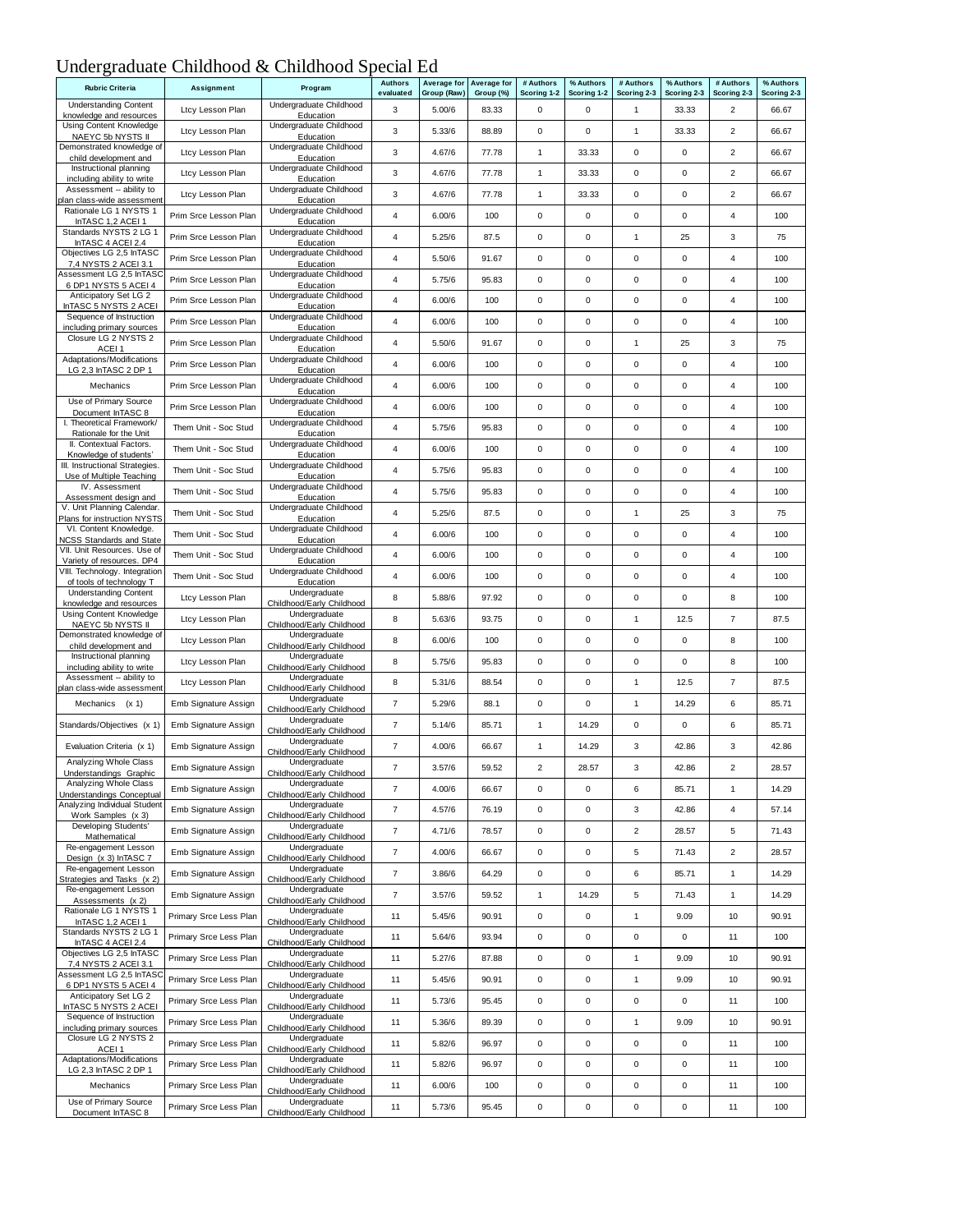## Undergraduate Childhood & Childhood Special Ed

| <b>Rubric Criteria</b>                                         | Assignment             | Program                                    | <b>Authors</b><br>evaluated | Average for<br>Group (Raw) | Average for<br>Group (%) | # Authors<br>Scoring 1-2 | % Authors<br>Scoring 1-2 | # Authors<br>Scoring 2-3 | % Authors<br>Scoring 2-3 | # Authors<br>Scoring 2-3 | % Authors<br>Scoring 2-3 |
|----------------------------------------------------------------|------------------------|--------------------------------------------|-----------------------------|----------------------------|--------------------------|--------------------------|--------------------------|--------------------------|--------------------------|--------------------------|--------------------------|
| <b>Understanding Content</b><br>knowledge and resources        | Ltcy Lesson Plan       | Undergraduate Childhood<br>Education       | 3                           | 5.00/6                     | 83.33                    | 0                        | 0                        | $\mathbf{1}$             | 33.33                    | 2                        | 66.67                    |
| Using Content Knowledge                                        | Ltcy Lesson Plan       | Undergraduate Childhood                    | 3                           | 5.33/6                     | 88.89                    | 0                        | 0                        | 1                        | 33.33                    | 2                        | 66.67                    |
| NAEYC 5b NYSTS II<br>Demonstrated knowledge of                 | Ltcy Lesson Plan       | Education<br>Undergraduate Childhood       | 3                           | 4.67/6                     | 77.78                    | 1                        | 33.33                    | 0                        | 0                        | 2                        | 66.67                    |
| child development and<br>Instructional planning                | Ltcy Lesson Plan       | Education<br>Undergraduate Childhood       | 3                           | 4.67/6                     | 77.78                    | 1                        | 33.33                    | 0                        | 0                        | 2                        | 66.67                    |
| including ability to write<br>Assessment -- ability to         | Ltcy Lesson Plan       | Education<br>Undergraduate Childhood       | 3                           | 4.67/6                     | 77.78                    | 1                        | 33.33                    | 0                        | $\mathsf 0$              | 2                        | 66.67                    |
| lan class-wide assessment<br>Rationale LG 1 NYSTS 1            | Prim Srce Lesson Plan  | Education<br>Undergraduate Childhood       | 4                           | 6.00/6                     | 100                      | 0                        | 0                        | $\mathbf 0$              | $\mathsf 0$              | 4                        | 100                      |
| InTASC 1,2 ACEI 1<br>Standards NYSTS 2 LG 1                    |                        | Education<br>Undergraduate Childhood       |                             |                            |                          |                          |                          |                          |                          | 3                        |                          |
| InTASC 4 ACEI 2.4<br>Objectives LG 2,5 InTASC                  | Prim Srce Lesson Plan  | Education<br>Undergraduate Childhood       | 4                           | 5.25/6                     | 87.5                     | 0                        | 0                        | $\mathbf{1}$             | 25                       |                          | 75                       |
| 7,4 NYSTS 2 ACEI 3.1<br>Assessment LG 2,5 InTASC               | Prim Srce Lesson Plan  | Education<br>Undergraduate Childhood       | 4                           | 5.50/6                     | 91.67                    | 0                        | 0                        | 0                        | 0                        | 4                        | 100                      |
| 6 DP1 NYSTS 5 ACEI 4<br>Anticipatory Set LG 2                  | Prim Srce Lesson Plan  | Education<br>Undergraduate Childhood       | 4                           | 5.75/6                     | 95.83                    | 0                        | 0                        | 0                        | $\mathsf 0$              | 4                        | 100                      |
| InTASC 5 NYSTS 2 ACEI<br>Sequence of Instruction               | Prim Srce Lesson Plan  | Education<br>Undergraduate Childhood       | 4                           | 6.00/6                     | 100                      | 0                        | 0                        | 0                        | 0                        | 4                        | 100                      |
| including primary sources                                      | Prim Srce Lesson Plan  | Education                                  | 4                           | 6.00/6                     | 100                      | 0                        | 0                        | 0                        | 0                        | 4                        | 100                      |
| Closure LG 2 NYSTS 2<br>ACEI <sub>1</sub>                      | Prim Srce Lesson Plan  | Undergraduate Childhood<br>Education       | $\overline{4}$              | 5.50/6                     | 91.67                    | 0                        | 0                        | $\mathbf{1}$             | 25                       | 3                        | 75                       |
| Adaptations/Modifications<br>LG 2,3 InTASC 2 DP 1              | Prim Srce Lesson Plan  | Undergraduate Childhood<br>Education       | $\overline{4}$              | 6.00/6                     | 100                      | 0                        | 0                        | 0                        | $\mathsf 0$              | 4                        | 100                      |
| Mechanics                                                      | Prim Srce Lesson Plan  | Undergraduate Childhood<br>Education       | 4                           | 6.00/6                     | 100                      | 0                        | 0                        | 0                        | $\mathsf 0$              | 4                        | 100                      |
| Use of Primary Source<br>Document InTASC 8                     | Prim Srce Lesson Plan  | Undergraduate Childhood<br>Education       | 4                           | 6.00/6                     | 100                      | 0                        | 0                        | 0                        | 0                        | 4                        | 100                      |
| I. Theoretical Framework/<br>Rationale for the Unit            | Them Unit - Soc Stud   | Undergraduate Childhood<br>Education       | 4                           | 5.75/6                     | 95.83                    | 0                        | 0                        | 0                        | $\mathsf 0$              | 4                        | 100                      |
| II. Contextual Factors.<br>Knowledge of students               | Them Unit - Soc Stud   | Undergraduate Childhood<br>Education       | 4                           | 6.00/6                     | 100                      | 0                        | 0                        | $\mathbf 0$              | $\mathsf 0$              | 4                        | 100                      |
| III. Instructional Strategies.                                 | Them Unit - Soc Stud   | Undergraduate Childhood                    | 4                           | 5.75/6                     | 95.83                    | 0                        | 0                        | 0                        | $\mathsf 0$              | 4                        | 100                      |
| Use of Multiple Teaching<br>IV. Assessment                     | Them Unit - Soc Stud   | Education<br>Undergraduate Childhood       | 4                           | 5.75/6                     | 95.83                    | 0                        | 0                        | 0                        | 0                        | 4                        | 100                      |
| Assessment design and<br>V. Unit Planning Calendar.            | Them Unit - Soc Stud   | Education<br>Undergraduate Childhood       | 4                           | 5.25/6                     | 87.5                     | 0                        | 0                        | $\mathbf{1}$             | 25                       | 3                        | 75                       |
| Plans for instruction NYSTS<br>VI. Content Knowledge.          | Them Unit - Soc Stud   | Education<br>Undergraduate Childhood       | 4                           | 6.00/6                     | 100                      | 0                        | 0                        | 0                        | $\mathsf 0$              | 4                        | 100                      |
| <b>NCSS Standards and State</b><br>VII. Unit Resources. Use of | Them Unit - Soc Stud   | Education<br>Undergraduate Childhood       | 4                           | 6.00/6                     | 100                      | 0                        | 0                        | 0                        | 0                        | 4                        | 100                      |
| Variety of resources. DP4<br>VIII. Technology. Integration     |                        | Education<br>Undergraduate Childhood       |                             |                            |                          |                          |                          |                          |                          |                          |                          |
| of tools of technology T<br><b>Understanding Content</b>       | Them Unit - Soc Stud   | Education<br>Undergraduate                 | $\overline{4}$              | 6.00/6                     | 100                      | 0                        | 0                        | 0                        | $\pmb{0}$                | 4                        | 100                      |
| knowledge and resources<br>Using Content Knowledge             | Ltcy Lesson Plan       | Childhood/Early Childhood<br>Undergraduate | 8                           | 5.88/6                     | 97.92                    | 0                        | 0                        | 0                        | 0                        | 8                        | 100                      |
| NAEYC 5b NYSTS II<br>Demonstrated knowledge of                 | Ltcy Lesson Plan       | Childhood/Early Childhood<br>Undergraduate | 8                           | 5.63/6                     | 93.75                    | 0                        | 0                        | $\mathbf{1}$             | 12.5                     | $\overline{7}$           | 87.5                     |
| child development and                                          | Ltcy Lesson Plan       | Childhood/Early Childhood                  | 8                           | 6.00/6                     | 100                      | 0                        | 0                        | 0                        | $\pmb{0}$                | 8                        | 100                      |
| Instructional planning<br>including ability to write           | Ltcy Lesson Plan       | Undergraduate<br>Childhood/Early Childhood | 8                           | 5.75/6                     | 95.83                    | 0                        | 0                        | 0                        | $\pmb{0}$                | 8                        | 100                      |
| Assessment -- ability to<br>plan class-wide assessment         | Ltcy Lesson Plan       | Undergraduate<br>Childhood/Early Childhood | 8                           | 5.31/6                     | 88.54                    | 0                        | 0                        | $\mathbf{1}$             | 12.5                     | $\overline{7}$           | 87.5                     |
| Mechanics (x 1)                                                | Emb Signature Assign   | Undergraduate<br>Childhood/Early Childhood | $\overline{\mathfrak{c}}$   | 5.29/6                     | 88.1                     | 0                        | 0                        | 1                        | 14.29                    | 6                        | 85.71                    |
| Standards/Objectives (x 1)                                     | Emb Signature Assign   | Undergraduate<br>Childhood/Early Childhood | $\overline{7}$              | 5.14/6                     | 85.71                    | $\mathbf{1}$             | 14.29                    | 0                        | 0                        | 6                        | 85.71                    |
| Evaluation Criteria (x 1)                                      | Emb Signature Assign   | Undergraduate<br>Childhood/Early Childhood | $\overline{7}$              | 4.00/6                     | 66.67                    | 1                        | 14.29                    | 3                        | 42.86                    | 3                        | 42.86                    |
| Analyzing Whole Class<br>Inderstandings Graphic                | Emb Signature Assign   | Undergraduate<br>Childhood/Early Childhood | $\overline{7}$              | 3.57/6                     | 59.52                    | $\overline{2}$           | 28.57                    | 3                        | 42.86                    | $\overline{2}$           | 28.57                    |
| Analyzing Whole Class<br>Understandings Conceptual             | Emb Signature Assign   | Undergraduate<br>Childhood/Early Childhood | $\overline{\mathbf{7}}$     | 4.00/6                     | 66.67                    | $\mathsf 0$              | $\pmb{0}$                | 6                        | 85.71                    | $\mathbf{1}$             | 14.29                    |
| Analyzing Individual Student<br>Work Samples (x 3)             | Emb Signature Assign   | Undergraduate<br>Childhood/Early Childhood | $\overline{7}$              | 4.57/6                     | 76.19                    | 0                        | 0                        | 3                        | 42.86                    | 4                        | 57.14                    |
| Developing Students'<br>Mathematical                           | Emb Signature Assign   | Undergraduate<br>Childhood/Early Childhood | $\overline{\mathbf{7}}$     | 4.71/6                     | 78.57                    | $\mathbf 0$              | $\pmb{0}$                | $\overline{\mathbf{c}}$  | 28.57                    | 5                        | 71.43                    |
| Re-engagement Lesson<br>Design (x 3) InTASC 7                  | Emb Signature Assign   | Undergraduate<br>Childhood/Early Childhood | $\boldsymbol{7}$            | 4.00/6                     | 66.67                    | $\mathbf 0$              | $\pmb{0}$                | 5                        | 71.43                    | $\overline{\mathbf{c}}$  | 28.57                    |
| Re-engagement Lesson                                           | Emb Signature Assign   | Undergraduate                              | $\overline{7}$              | 3.86/6                     | 64.29                    | 0                        | 0                        | 6                        | 85.71                    | $\mathbf{1}$             | 14.29                    |
| Strategies and Tasks (x 2)<br>Re-engagement Lesson             | Emb Signature Assign   | Childhood/Early Childhood<br>Undergraduate | $\overline{7}$              | 3.57/6                     | 59.52                    | $\mathbf{1}$             | 14.29                    | 5                        | 71.43                    | $\mathbf{1}$             | 14.29                    |
| Assessments (x 2)<br>Rationale LG 1 NYSTS 1                    | Primary Srce Less Plan | Childhood/Early Childhood<br>Undergraduate | 11                          | 5.45/6                     | 90.91                    | $\mathbf 0$              | 0                        | $\mathbf{1}$             | 9.09                     | 10                       | 90.91                    |
| InTASC 1,2 ACEI 1<br>Standards NYSTS 2 LG 1                    | Primary Srce Less Plan | Childhood/Early Childhood<br>Undergraduate | 11                          | 5.64/6                     | 93.94                    | 0                        | 0                        | 0                        | $\pmb{0}$                | 11                       | 100                      |
| InTASC 4 ACEI 2.4<br>Objectives LG 2,5 InTASC                  | Primary Srce Less Plan | Childhood/Early Childhood<br>Undergraduate | 11                          | 5.27/6                     | 87.88                    | 0                        | $\mathsf{O}\xspace$      | $\mathbf{1}$             | 9.09                     | 10                       | 90.91                    |
| 7,4 NYSTS 2 ACEI 3.1<br>Assessment LG 2,5 InTASC               |                        | Childhood/Early Childhood<br>Undergraduate |                             |                            |                          |                          |                          |                          |                          |                          |                          |
| 6 DP1 NYSTS 5 ACEI 4<br>Anticipatory Set LG 2                  | Primary Srce Less Plan | Childhood/Early Childhood<br>Undergraduate | 11                          | 5.45/6                     | 90.91                    | $\mathbf 0$              | $\pmb{0}$                | $\mathbf{1}$             | 9.09                     | 10                       | 90.91                    |
| InTASC 5 NYSTS 2 ACEI<br>Sequence of Instruction               | Primary Srce Less Plan | Childhood/Early Childhood<br>Undergraduate | 11                          | 5.73/6                     | 95.45                    | 0                        | 0                        | 0                        | $\pmb{0}$                | 11                       | 100                      |
| including primary sources<br>Closure LG 2 NYSTS 2              | Primary Srce Less Plan | Childhood/Early Childhood                  | 11                          | 5.36/6                     | 89.39                    | 0                        | 0                        | $\mathbf{1}$             | 9.09                     | 10                       | 90.91                    |
| ACEI <sub>1</sub>                                              | Primary Srce Less Plan | Undergraduate<br>Childhood/Early Childhood | 11                          | 5.82/6                     | 96.97                    | $\mathbf 0$              | $\pmb{0}$                | $\pmb{0}$                | $\pmb{0}$                | 11                       | 100                      |
| Adaptations/Modifications<br>LG 2,3 InTASC 2 DP 1              | Primary Srce Less Plan | Undergraduate<br>Childhood/Early Childhood | 11                          | 5.82/6                     | 96.97                    | 0                        | 0                        | 0                        | $\pmb{0}$                | 11                       | 100                      |
| Mechanics                                                      | Primary Srce Less Plan | Undergraduate<br>Childhood/Early Childhood | 11                          | 6.00/6                     | 100                      | 0                        | $\mathsf 0$              | 0                        | $\pmb{0}$                | 11                       | 100                      |
| Use of Primary Source<br>Document InTASC 8                     | Primary Srce Less Plan | Undergraduate<br>Childhood/Early Childhood | 11                          | 5.73/6                     | 95.45                    | 0                        | $\pmb{0}$                | $\pmb{0}$                | $\pmb{0}$                | 11                       | 100                      |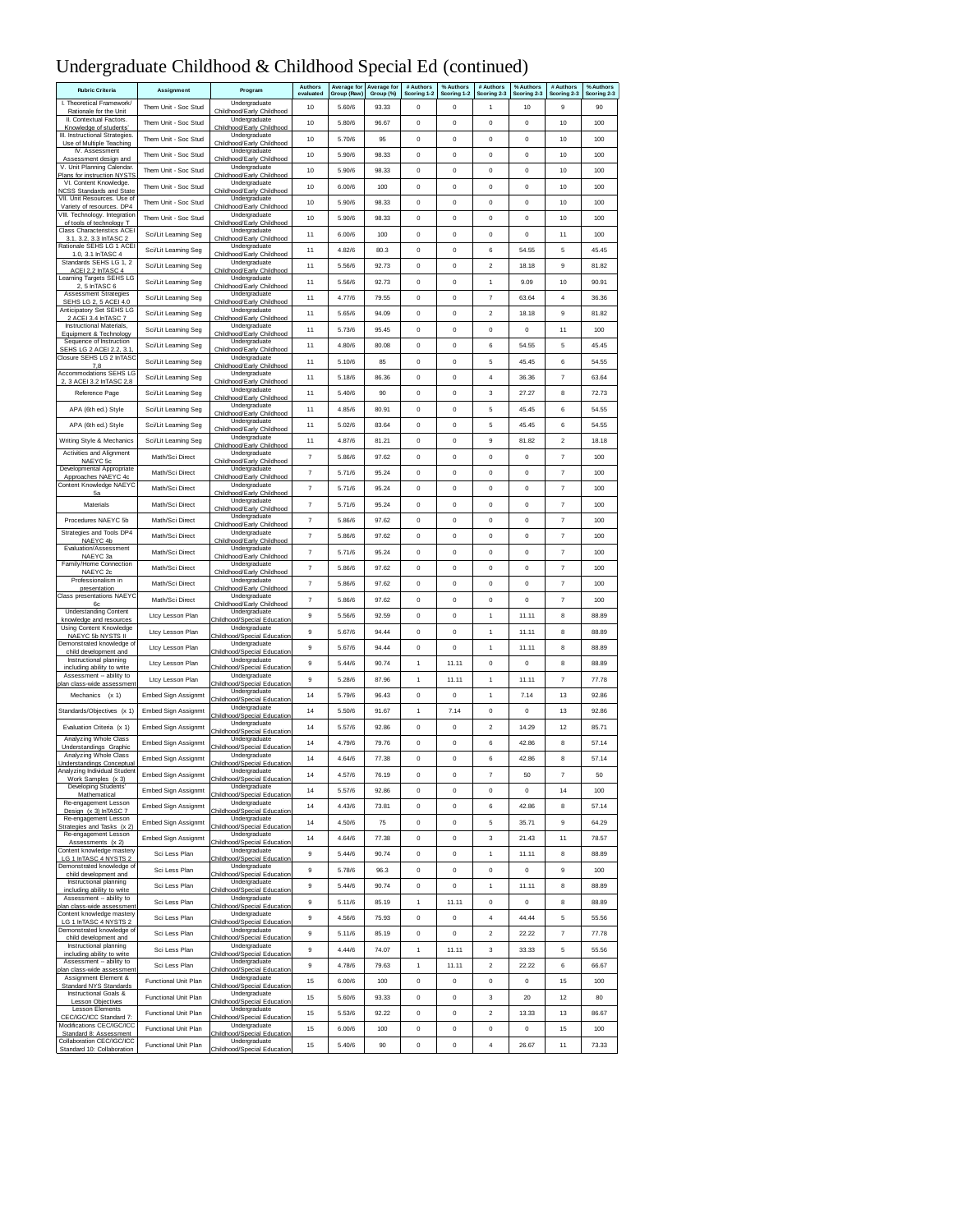# Undergraduate Childhood & Childhood Special Ed (continued)

| <b>Rubric Criteria</b>                                           | Assignment                 | Program                                      | Authors<br>evaluated      | <b>Average for</b><br>Group (Raw) | Average for<br>Group (%) | # Authors<br>Scoring 1-2 | % Authors<br>Scoring 1-2 | # Authors<br>Scoring 2-3 | % Authors<br>Scoring 2-3 | # Authors<br>Scoring 2-3  | % Authors<br>Scoring 2-3 |
|------------------------------------------------------------------|----------------------------|----------------------------------------------|---------------------------|-----------------------------------|--------------------------|--------------------------|--------------------------|--------------------------|--------------------------|---------------------------|--------------------------|
| I. Theoretical Framework/<br>Rationale for the Unit              | Them Unit - Soc Stud       | Undergraduate<br>Childhood/Early Childhood   | 10                        | 5.60/6                            | 93.33                    | $\mathbf 0$              | $\mathbf 0$              | 1                        | 10                       | 9                         | 90                       |
| II. Contextual Factors.<br>Knowledge of students'                | Them Unit - Soc Stud       | Undergraduate<br>Childhood/Early Childhood   | 10                        | 5.80/6                            | 96.67                    | $\mathbf 0$              | $\mathbf 0$              | $\mathbf 0$              | $\mathbf 0$              | 10                        | 100                      |
| III. Instructional Strategies.                                   | Them Unit - Soc Stud       | Undergraduate                                | 10                        | 5.70/6                            | 95                       | 0                        | 0                        | 0                        | 0                        | 10                        | 100                      |
| Use of Multiple Teaching<br>IV. Assessment                       | Them Unit - Soc Stud       | Childhood/Early Childhood<br>Undergraduate   | 10                        | 5.90/6                            | 98.33                    | 0                        | 0                        | 0                        | 0                        | 10                        | 100                      |
| Assessment design and<br>V. Unit Planning Calendar.              | Them Unit - Soc Stud       | Childhood/Early Childhood<br>Undergraduate   | 10                        | 5.90/6                            | 98.33                    | 0                        | $\mathbf 0$              | 0                        | 0                        | 10                        | 100                      |
| Plans for instruction NYSTS<br>VI. Content Knowledge.            | Them Unit - Soc Stud       | Childhood/Early Childhood<br>Undergraduate   | 10                        | 6.00/6                            | 100                      | $\mathbf 0$              | $\mathbf 0$              | $^{\circ}$               | $\mathbf 0$              | 10                        | 100                      |
| <b>NCSS Standards and State</b><br>VII. Unit Resources. Use of   |                            | Childhood/Early Childhood<br>Undergraduate   |                           |                                   |                          |                          |                          |                          |                          |                           |                          |
| Variety of resources. DP4<br>VIII. Technology. Integration       | Them Unit - Soc Stud       | Childhood/Early Childhood<br>Undergraduate   | 10                        | 5.90/6                            | 98.33                    | $\mathbf 0$              | $\mathbf 0$              | $\mathbf 0$              | $\mathbf 0$              | 10                        | 100                      |
| of tools of technology T<br>Class Characteristics ACEI           | Them Unit - Soc Stud       | Childhood/Early Childhood<br>Undergraduate   | 10                        | 5.90/6                            | 98.33                    | $\mathbf 0$              | $\mathbf 0$              | $\mathbf 0$              | $\mathbf 0$              | 10                        | 100                      |
| 3.1, 3.2, 3.3 InTASC 2<br>Rationale SEHS LG 1 ACEI               | Sci/Lit Learning Seg       | Childhood/Early Childhood                    | 11                        | 6.00/6                            | 100                      | 0                        | 0                        | 0                        | 0                        | 11                        | 100                      |
| 1.0. 3.1 InTASC 4                                                | Sci/Lit Learning Seg       | Undergraduate<br>Childhood/Early Childhood   | 11                        | 4.82/6                            | 80.3                     | $\circ$                  | $\pmb{0}$                | 6                        | 54.55                    | 5                         | 45.45                    |
| Standards SEHS LG 1, 2<br>ACEI 2.2 InTASC 4                      | Sci/Lit Learning Seg       | Undergraduate<br>Childhood/Early Childhood   | 11                        | 5.56/6                            | 92.73                    | $\mathbf 0$              | $\mathbf 0$              | $\overline{2}$           | 18.18                    | 9                         | 81.82                    |
| Learning Targets SEHS LG<br>2, 5 InTASC 6                        | Sci/Lit Learning Seg       | Undergraduate<br>Childhood/Early Childhood   | 11                        | 5.56/6                            | 92.73                    | $\mathbf 0$              | $\mathbf 0$              | $\mathbf{1}$             | 9.09                     | 10                        | 90.91                    |
| <b>Assessment Strategies</b><br>SEHS LG 2, 5 ACEI 4.0            | Sci/Lit Learning Seg       | Undergraduate<br>Childhood/Early Childhood   | 11                        | 4.77/6                            | 79.55                    | 0                        | $\pmb{0}$                | $\overline{7}$           | 63.64                    | $\sqrt{4}$                | 36.36                    |
| Anticipatory Set SEHS LG<br>2 ACEI 3.4 InTASC 7                  | Sci/Lit Learning Seg       | Undergraduate<br>Childhood/Early Childhood   | 11                        | 5.65/6                            | 94.09                    | 0                        | 0                        | $\overline{2}$           | 18.18                    | 9                         | 81.82                    |
| Instructional Materials,                                         | Sci/Lit Learning Seg       | Undergraduate                                | 11                        | 5.73/6                            | 95.45                    | $\circ$                  | $\mathbf 0$              | $\mathbf 0$              | 0                        | 11                        | 100                      |
| Equipment & Technology<br>Sequence of Instruction                | Sci/Lit Learning Seg       | Childhood/Early Childhood<br>Undergraduate   | 11                        | 4.80/6                            | 80.08                    | 0                        | 0                        | 6                        | 54.55                    | 5                         | 45.45                    |
| SEHS LG 2 ACEI 2.2, 3.1<br>Closure SEHS LG 2 InTASO              | Sci/Lit Learning Seg       | Childhood/Early Childhood<br>Undergraduate   | 11                        | 5.10/6                            | 85                       | $\pmb{0}$                | $\pmb{0}$                | 5                        | 45.45                    | 6                         | 54.55                    |
| 7,8<br><b>Accommodations SEHS LG</b>                             | Sci/Lit Learning Seg       | Childhood/Early Childhood<br>Undergraduate   | 11                        | 5.18/6                            | 86.36                    | 0                        | $\pmb{0}$                | $\overline{4}$           | 36.36                    | $\overline{7}$            | 63.64                    |
| 2, 3 ACEI 3.2 InTASC 2,8<br>Reference Page                       | Sci/Lit Learning Seg       | Childhood/Early Childhood<br>Undergraduate   | 11                        | 5.40/6                            | 90                       | 0                        | 0                        | 3                        | 27.27                    | 8                         | 72.73                    |
|                                                                  |                            | Childhood/Early Childhood<br>Undergraduate   |                           |                                   |                          |                          |                          |                          |                          |                           |                          |
| APA (6th ed.) Style                                              | Sci/Lit Learning Seg       | Childhood/Early Childhood<br>Undergraduate   | 11                        | 4.85/6                            | 80.91                    | 0                        | 0                        | 5                        | 45.45                    | 6                         | 54.55                    |
| APA (6th ed.) Style                                              | Sci/Lit Learning Seg       | Childhood/Early Childhood<br>Undergraduate   | 11                        | 5.02/6                            | 83.64                    | 0                        | $\mathbf 0$              | 5                        | 45.45                    | 6                         | 54.55                    |
| Writing Style & Mechanics                                        | Sci/Lit Learning Seg       | Childhood/Early Childhood                    | 11                        | 4.87/6                            | 81.21                    | $\mathbf 0$              | $\mathbf 0$              | $\overline{9}$           | 81.82                    | $\sqrt{2}$                | 18.18                    |
| Activities and Alignment<br>NAEYC 5c                             | Math/Sci Direct            | Undergraduate<br>Childhood/Early Childhoo    | 7                         | 5.86/6                            | 97.62                    | 0                        | $\pmb{0}$                | $\mathbf 0$              | 0                        | $\overline{7}$            | 100                      |
| Developmental Appropriate<br>Approaches NAEYC 4c                 | Math/Sci Direct            | Undergraduate<br>Childhood/Early Childhood   | 7                         | 5.71/6                            | 95.24                    | 0                        | 0                        | 0                        | 0                        | $\overline{7}$            | 100                      |
| Content Knowledge NAEYC<br>5a                                    | Math/Sci Direct            | Undergraduate<br>Childhood/Early Childhood   | $\overline{\phantom{a}}$  | 5.71/6                            | 95.24                    | 0                        | 0                        | 0                        | 0                        | $\overline{\mathfrak{r}}$ | 100                      |
| Materials                                                        | Math/Sci Direct            | Undergraduate<br>Childhood/Early Childhood   | 7                         | 5.71/6                            | 95.24                    | 0                        | 0                        | 0                        | 0                        | $\overline{\mathfrak{r}}$ | 100                      |
| Procedures NAEYC 5b                                              | Math/Sci Direct            | Undergraduate<br>Childhood/Early Childhood   | $\overline{\mathfrak{r}}$ | 5.86/6                            | 97.62                    | $\mathbf 0$              | $\pmb{0}$                | $\mathbf 0$              | $\mathbf 0$              | $\overline{7}$            | 100                      |
| Strategies and Tools DP4                                         | Math/Sci Direct            | Undergraduate                                | $\overline{\mathfrak{r}}$ | 5.86/6                            | 97.62                    | $\mathbf 0$              | $\mathbf 0$              | $\mathbf 0$              | $\mathbf 0$              | $\overline{7}$            | 100                      |
| NAEYC 4b<br>Evaluation/Assessment                                | Math/Sci Direct            | Childhood/Early Childhood<br>Undergraduate   | $\overline{\mathfrak{r}}$ | 5.71/6                            | 95.24                    | $\mathbf 0$              | $\mathbf 0$              | $\mathbf 0$              | $\mathbf 0$              | $\overline{7}$            | 100                      |
| NAEYC 3a<br>Family/Home Connection                               | Math/Sci Direct            | Childhood/Early Childhood<br>Undergraduate   | 7                         | 5.86/6                            | 97.62                    | 0                        | 0                        | 0                        | 0                        | 7                         | 100                      |
| NAEYC <sub>2c</sub><br>Professionalism in                        | Math/Sci Direct            | Childhood/Early Childhood<br>Undergraduate   | $\overline{7}$            | 5.86/6                            | 97.62                    | 0                        | 0                        | 0                        | 0                        | $\overline{7}$            | 100                      |
| presentation<br>Class presentations NAEYC                        | Math/Sci Direct            | Childhood/Early Childhood<br>Undergraduate   | $\overline{\mathcal{I}}$  | 5.86/6                            | 97.62                    | $\mathbf 0$              | $\mathbf 0$              | $\mathbf 0$              | $\mathbf 0$              | $\overline{7}$            | 100                      |
| 6с<br><b>Understanding Content</b>                               |                            | Childhood/Early Childhood<br>Undergraduate   |                           |                                   |                          |                          |                          |                          |                          |                           |                          |
| knowledge and resources<br>Using Content Knowledge               | Ltcy Lesson Plan           | Childhood/Special Education<br>Undergraduate | 9                         | 5.56/6                            | 92.59                    | $\mathbf 0$              | $\mathbf 0$              | 1                        | 11.11                    | 8                         | 88.89                    |
| NAEYC 5b NYSTS II<br>Demonstrated knowledge o                    | Ltcy Lesson Plan           | Childhood/Special Education<br>Undergraduate | 9                         | 5.67/6                            | 94.44                    | $\mathbf 0$              | $\mathbf 0$              | $\mathbf{1}$             | 11.11                    | 8                         | 88.89                    |
| child development and<br>Instructional planning                  | Ltcy Lesson Plan           | Childhood/Special Education<br>Undergraduate | 9                         | 5.67/6                            | 94.44                    | 0                        | 0                        | 1                        | 11.11                    | 8                         | 88.89                    |
| including ability to write                                       | Ltcy Lesson Plan           | Childhood/Special Education                  | 9                         | 5.44/6                            | 90.74                    | 1                        | 11.11                    | $^{\circ}$               | 0                        | 8                         | 88.89                    |
| Assessment -- ability to<br>plan class-wide assessment           | Ltcy Lesson Plan           | Undergraduate<br>Childhood/Special Education | 9                         | 5.28/6                            | 87.96                    | 1                        | 11.11                    | 1                        | 11.11                    | $\overline{7}$            | 77.78                    |
| Mechanics (x 1)                                                  | Embed Sign Assignmt        | Undergraduate<br>Childhood/Special Education | 14                        | 5.79/6                            | 96.43                    | $\mathbf 0$              | $\mathbf 0$              | 1                        | 7.14                     | 13                        | 92.86                    |
| Standards/Objectives (x 1)                                       | Embed Sign Assignmt        | Undergraduate<br>Childhood/Special Education | 14                        | 5.50/6                            | 91.67                    | $\mathbf{1}$             | 7.14                     | $\circ$                  | 0                        | 13                        | 92.86                    |
| Evaluation Criteria (x 1)                                        | Embed Sign Assignmt        | Undergraduate<br>ood/Special Education       | 14                        | 5.57/6                            | 92.86                    | 0                        | 0                        | 2                        | 14.29                    | 12                        | 85.71                    |
| Analyzing Whole Class<br>Understandings Graphic                  | Embed Sign Assignmt        | Undergraduate<br>Childhood/Special Education | 14                        | 4.79/6                            | 79.76                    | 0                        | 0                        | 6                        | 42.86                    | 8                         | 57.14                    |
| Analyzing Whole Class                                            | Embed Sign Assignmt        | Undergraduate                                | 14                        | 4.64/6                            | 77.38                    | 0                        | $\pmb{0}$                | 6                        | 42.86                    | 8                         | 57.14                    |
| <b>Understandings Conceptual</b><br>Analyzing Individual Student | Embed Sign Assignmt        | Childhood/Special Education<br>Undergraduate | 14                        | 4.57/6                            | 76.19                    | $\mathbf 0$              | $\bf{0}$                 | 7                        | 50                       | 7                         | 50                       |
| Work Samples<br><b>X</b><br>Developing Students'                 | <b>Embed Sign Assignmt</b> | al Eduo<br>Undergraduate                     | 14                        | 5.57/6                            | 92.86                    | 0                        | 0                        | $\mathbf 0$              | $\mathbf 0$              | 14                        | 100                      |
| Mathematical<br>Re-engagement Lesson                             | <b>Embed Sign Assignmt</b> | Childhood/Special Education<br>Undergraduate | 14                        | 4.43/6                            | 73.81                    | 0                        | 0                        | 6                        | 42.86                    | 8                         | 57.14                    |
| Design (x 3) InTASC 7<br>Re-engagement Lesson                    | Embed Sign Assignmt        | Childhood/Special Education<br>Undergraduate | 14                        | 4.50/6                            | 75                       | 0                        | 0                        | 5                        | 35.71                    | 9                         | 64.29                    |
| Strategies and Tasks (x 2)<br>Re-engagement Lesson               |                            | Childhood/Special Education<br>Undergraduate |                           |                                   |                          |                          |                          |                          |                          |                           |                          |
| Assessments (x 2)<br>Content knowledge mastery                   | Embed Sign Assignmt        | Childhood/Special Education<br>Undergraduate | 14                        | 4.64/6                            | 77.38                    | $\pmb{0}$                | 0                        | 3                        | 21.43                    | 11                        | 78.57                    |
| LG 1 InTASC 4 NYSTS 2<br>Demonstrated knowledge of               | Sci Less Plan              | Childhood/Special Education<br>Undergraduate | 9                         | 5.44/6                            | 90.74                    | $\mathbf 0$              | $\mathbf 0$              | 1                        | 11.11                    | 8                         | 88.89                    |
| child development and                                            | Sci Less Plan              | Childhood/Special Education                  | $\mathsf g$               | 5.78/6                            | 96.3                     | $\mathbf 0$              | $\pmb{0}$                | 0                        | 0                        | 9                         | 100                      |
| Instructional planning<br>including ability to write             | Sci Less Plan              | Undergraduate<br>Childhood/Special Education | 9                         | 5.44/6                            | 90.74                    | 0                        | $\mathbf 0$              | 1                        | 11.11                    | 8                         | 88.89                    |
| Assessment -- ability to<br>plan class-wide assessment           | Sci Less Plan              | Undergraduate<br>Childhood/Special Education | 9                         | 5.11/6                            | 85.19                    | 1                        | 11.11                    | 0                        | 0                        | 8                         | 88.89                    |
| Content knowledge mastery<br>LG 1 InTASC 4 NYSTS 2               | Sci Less Plan              | Undergraduate<br>Childhood/Special Education | 9                         | 4.56/6                            | 75.93                    | 0                        | 0                        | 4                        | 44.44                    | 5                         | 55.56                    |
| Demonstrated knowledge of<br>child development and               | Sci Less Plan              | Undergraduate<br>Childhood/Special Education | 9                         | 5.11/6                            | 85.19                    | 0                        | 0                        | $\overline{\mathbf{c}}$  | 22.22                    | $\overline{\mathfrak{r}}$ | 77.78                    |
| Instructional planning<br>including ability to write             | Sci Less Plan              | Undergraduate<br>Childhood/Special Education | $_{9}$                    | 4.44/6                            | 74.07                    | $\mathbf{1}$             | 11.11                    | 3                        | 33.33                    | 5                         | 55.56                    |
| Assessment -- ability to<br>plan class-wide assessment           | Sci Less Plan              | Undergraduate<br>Childhood/Special Education | 9                         | 4.78/6                            | 79.63                    | 1                        | 11.11                    | $\overline{\mathbf{c}}$  | 22.22                    | 6                         | 66.67                    |
| Assignment Element &                                             | Functional Unit Plan       | Undergraduate                                | 15                        | 6.00/6                            | 100                      | 0                        | 0                        | 0                        | 0                        | 15                        | 100                      |
| Standard NYS Standards<br>Instructional Goals &                  | Functional Unit Plan       | Childhood/Special Education<br>Undergraduate | 15                        | 5.60/6                            | 93.33                    | 0                        | 0                        | 3                        | 20                       | 12                        | 80                       |
| <b>Lesson Objectives</b><br>Lesson Elements                      | Functional Unit Plan       | Childhood/Special Education<br>Undergraduate | 15                        | 5.53/6                            | 92.22                    | 0                        | 0                        | 2                        | 13.33                    | 13                        | 86.67                    |
| CEC/IGC/ICC Standard 7:<br>Modifications CEC/IGC/ICC             | Functional Unit Plan       | Childhood/Special Education<br>Undergraduate | 15                        | 6.00/6                            | 100                      | $\bf{0}$                 | $\mathbf 0$              | 0                        | 0                        | 15                        | 100                      |
| Standard 8: Assessment<br>Collaboration CEC/IGC/ICC              | Functional Unit Plan       | Childhood/Special Education<br>Undergraduate | 15                        | 5.40/6                            | 90                       | 0                        | 0                        | 4                        | 26.67                    | 11                        | 73.33                    |
| Standard 10: Collaboration                                       |                            | hildhood/Special Education                   |                           |                                   |                          |                          |                          |                          |                          |                           |                          |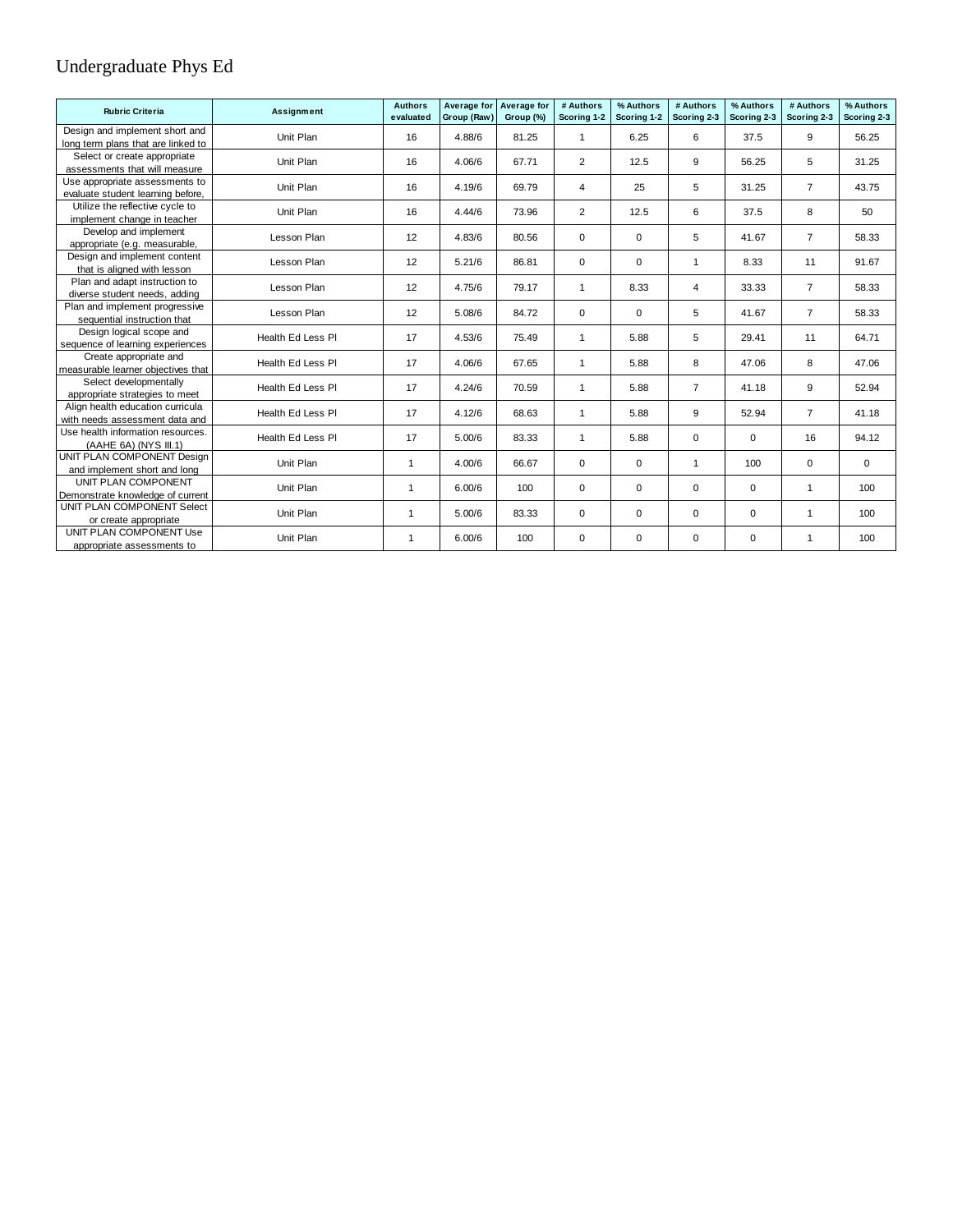## Undergraduate Phys Ed

| <b>Rubric Criteria</b>                                        | Assignment        | <b>Authors</b><br>evaluated | Average for<br>Group (Raw) | Average for<br>Group (%) | # Authors<br>Scoring 1-2 | % Authors<br>Scoring 1-2 | # Authors<br>Scoring 2-3 | % Authors<br>Scoring 2-3 | # Authors<br>Scoring 2-3 | % Authors<br>Scoring 2-3 |
|---------------------------------------------------------------|-------------------|-----------------------------|----------------------------|--------------------------|--------------------------|--------------------------|--------------------------|--------------------------|--------------------------|--------------------------|
| Design and implement short and                                | Unit Plan         | 16                          | 4.88/6                     | 81.25                    | 1                        | 6.25                     | 6                        | 37.5                     | 9                        | 56.25                    |
| long term plans that are linked to                            |                   |                             |                            |                          |                          |                          |                          |                          |                          |                          |
| Select or create appropriate<br>assessments that will measure | Unit Plan         | 16                          | 4.06/6                     | 67.71                    | $\overline{2}$           | 12.5                     | 9                        | 56.25                    | 5                        | 31.25                    |
| Use appropriate assessments to                                |                   |                             |                            |                          |                          |                          |                          |                          |                          |                          |
| evaluate student learning before,                             | Unit Plan         | 16                          | 4.19/6                     | 69.79                    | 4                        | 25                       | 5                        | 31.25                    | $\overline{7}$           | 43.75                    |
| Utilize the reflective cycle to                               | Unit Plan         | 16                          | 4.44/6                     | 73.96                    | $\overline{2}$           | 12.5                     | 6                        | 37.5                     | 8                        | 50                       |
| implement change in teacher                                   |                   |                             |                            |                          |                          |                          |                          |                          |                          |                          |
| Develop and implement                                         | Lesson Plan       | 12                          | 4.83/6                     | 80.56                    | $\mathbf 0$              | 0                        | 5                        | 41.67                    | $\overline{7}$           | 58.33                    |
| appropriate (e.g. measurable,                                 |                   |                             |                            |                          |                          |                          |                          |                          |                          |                          |
| Design and implement content                                  | Lesson Plan       | 12                          | 5.21/6                     | 86.81                    | $\mathbf 0$              | $\Omega$                 | -1                       | 8.33                     | 11                       | 91.67                    |
| that is aligned with lesson                                   |                   |                             |                            |                          |                          |                          |                          |                          |                          |                          |
| Plan and adapt instruction to                                 | Lesson Plan       | 12                          | 4.75/6                     | 79.17                    | $\mathbf{1}$             | 8.33                     | 4                        | 33.33                    | $\overline{7}$           | 58.33                    |
| diverse student needs, adding                                 |                   |                             |                            |                          |                          |                          |                          |                          |                          |                          |
| Plan and implement progressive                                | Lesson Plan       | 12                          | 5.08/6                     | 84.72                    | $\Omega$                 | $\Omega$                 | 5                        | 41.67                    | $\overline{7}$           | 58.33                    |
| sequential instruction that                                   |                   |                             |                            |                          |                          |                          |                          |                          |                          |                          |
| Design logical scope and<br>sequence of learning experiences  | Health Ed Less PI | 17                          | 4.53/6                     | 75.49                    | $\mathbf{1}$             | 5.88                     | 5                        | 29.41                    | 11                       | 64.71                    |
| Create appropriate and                                        |                   |                             |                            |                          |                          |                          |                          |                          |                          |                          |
| measurable learner objectives that                            | Health Ed Less PI | 17                          | 4.06/6                     | 67.65                    | $\mathbf{1}$             | 5.88                     | 8                        | 47.06                    | 8                        | 47.06                    |
| Select developmentally                                        |                   |                             |                            |                          |                          |                          |                          |                          |                          |                          |
| appropriate strategies to meet                                | Health Ed Less PI | 17                          | 4.24/6                     | 70.59                    | $\mathbf{1}$             | 5.88                     | $\overline{7}$           | 41.18                    | 9                        | 52.94                    |
| Align health education curricula                              | Health Ed Less PI | 17                          | 4.12/6                     | 68.63                    | $\mathbf{1}$             | 5.88                     | 9                        | 52.94                    | $\overline{7}$           | 41.18                    |
| with needs assessment data and                                |                   |                             |                            |                          |                          |                          |                          |                          |                          |                          |
| Use health information resources.<br>(AAHE 6A) (NYS III.1)    | Health Ed Less PI | 17                          | 5.00/6                     | 83.33                    | $\mathbf{1}$             | 5.88                     | $\mathbf 0$              | 0                        | 16                       | 94.12                    |
| UNIT PLAN COMPONENT Design                                    |                   |                             |                            |                          |                          |                          |                          |                          |                          |                          |
| and implement short and long                                  | Unit Plan         | $\mathbf{1}$                | 4.00/6                     | 66.67                    | $\mathbf 0$              | 0                        | $\mathbf{1}$             | 100                      | $\mathbf 0$              | 0                        |
| UNIT PLAN COMPONENT                                           |                   |                             |                            |                          |                          |                          |                          |                          |                          |                          |
| Demonstrate knowledge of current                              | Unit Plan         | $\mathbf{1}$                | 6.00/6                     | 100                      | $\mathbf 0$              | 0                        | $\mathbf 0$              | 0                        | $\mathbf{1}$             | 100                      |
| UNIT PLAN COMPONENT Select                                    | Unit Plan         | $\mathbf{1}$                | 5.00/6                     | 83.33                    | $\mathbf 0$              | 0                        | $\mathbf 0$              | $\mathbf 0$              | $\mathbf{1}$             | 100                      |
| or create appropriate                                         |                   |                             |                            |                          |                          |                          |                          |                          |                          |                          |
| UNIT PLAN COMPONENT Use                                       | Unit Plan         | $\mathbf{1}$                | 6.00/6                     | 100                      | $\mathbf 0$              | 0                        | 0                        | $\mathbf 0$              | $\mathbf{1}$             | 100                      |
| appropriate assessments to                                    |                   |                             |                            |                          |                          |                          |                          |                          |                          |                          |